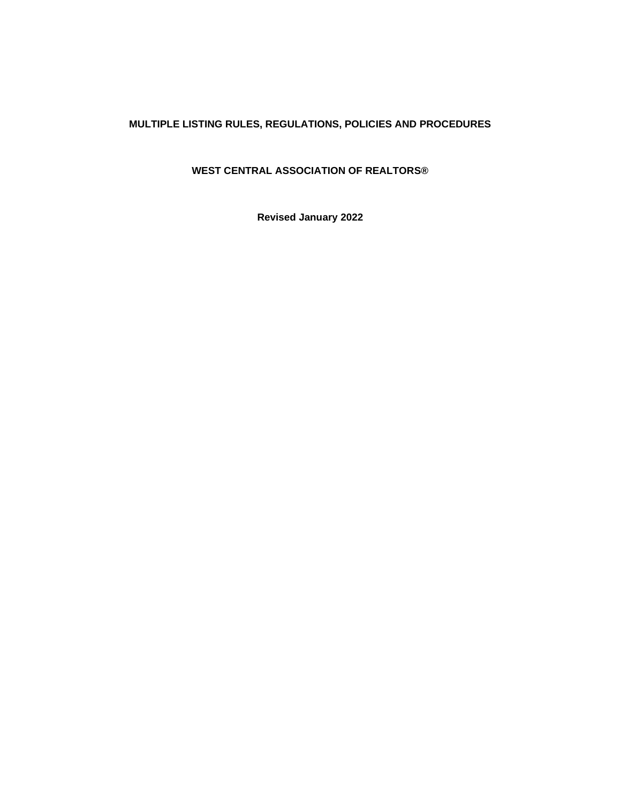# **MULTIPLE LISTING RULES, REGULATIONS, POLICIES AND PROCEDURES**

# **WEST CENTRAL ASSOCIATION OF REALTORS®**

**Revised January 2022**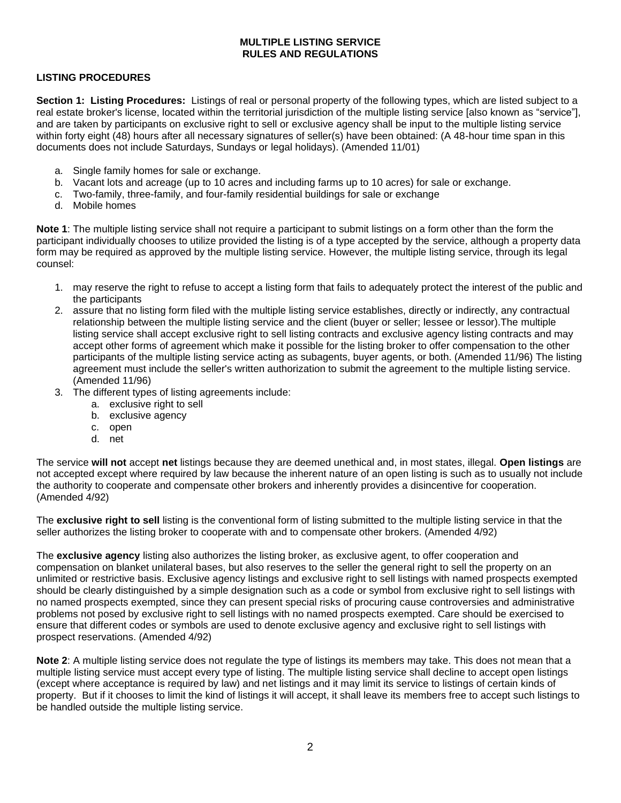## **MULTIPLE LISTING SERVICE RULES AND REGULATIONS**

#### **LISTING PROCEDURES**

**Section 1: Listing Procedures:** Listings of real or personal property of the following types, which are listed subject to a real estate broker's license, located within the territorial jurisdiction of the multiple listing service [also known as "service"], and are taken by participants on exclusive right to sell or exclusive agency shall be input to the multiple listing service within forty eight (48) hours after all necessary signatures of seller(s) have been obtained: (A 48-hour time span in this documents does not include Saturdays, Sundays or legal holidays). (Amended 11/01)

- a. Single family homes for sale or exchange.
- b. Vacant lots and acreage (up to 10 acres and including farms up to 10 acres) for sale or exchange.
- c. Two-family, three-family, and four-family residential buildings for sale or exchange
- d. Mobile homes

**Note 1**: The multiple listing service shall not require a participant to submit listings on a form other than the form the participant individually chooses to utilize provided the listing is of a type accepted by the service, although a property data form may be required as approved by the multiple listing service. However, the multiple listing service, through its legal counsel:

- 1. may reserve the right to refuse to accept a listing form that fails to adequately protect the interest of the public and the participants
- 2. assure that no listing form filed with the multiple listing service establishes, directly or indirectly, any contractual relationship between the multiple listing service and the client (buyer or seller; lessee or lessor).The multiple listing service shall accept exclusive right to sell listing contracts and exclusive agency listing contracts and may accept other forms of agreement which make it possible for the listing broker to offer compensation to the other participants of the multiple listing service acting as subagents, buyer agents, or both. (Amended 11/96) The listing agreement must include the seller's written authorization to submit the agreement to the multiple listing service. (Amended 11/96)
- 3. The different types of listing agreements include:
	- a. exclusive right to sell
	- b. exclusive agency
	- c. open
	- d. net

The service **will not** accept **net** listings because they are deemed unethical and, in most states, illegal. **Open listings** are not accepted except where required by law because the inherent nature of an open listing is such as to usually not include the authority to cooperate and compensate other brokers and inherently provides a disincentive for cooperation. (Amended 4/92)

The **exclusive right to sell** listing is the conventional form of listing submitted to the multiple listing service in that the seller authorizes the listing broker to cooperate with and to compensate other brokers. (Amended 4/92)

The **exclusive agency** listing also authorizes the listing broker, as exclusive agent, to offer cooperation and compensation on blanket unilateral bases, but also reserves to the seller the general right to sell the property on an unlimited or restrictive basis. Exclusive agency listings and exclusive right to sell listings with named prospects exempted should be clearly distinguished by a simple designation such as a code or symbol from exclusive right to sell listings with no named prospects exempted, since they can present special risks of procuring cause controversies and administrative problems not posed by exclusive right to sell listings with no named prospects exempted. Care should be exercised to ensure that different codes or symbols are used to denote exclusive agency and exclusive right to sell listings with prospect reservations. (Amended 4/92)

**Note 2**: A multiple listing service does not regulate the type of listings its members may take. This does not mean that a multiple listing service must accept every type of listing. The multiple listing service shall decline to accept open listings (except where acceptance is required by law) and net listings and it may limit its service to listings of certain kinds of property. But if it chooses to limit the kind of listings it will accept, it shall leave its members free to accept such listings to be handled outside the multiple listing service.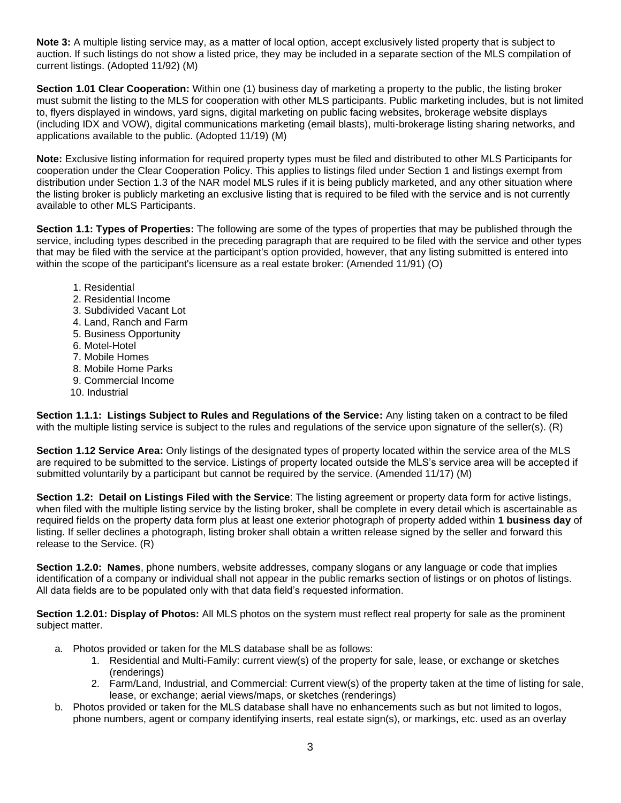**Note 3:** A multiple listing service may, as a matter of local option, accept exclusively listed property that is subject to auction. If such listings do not show a listed price, they may be included in a separate section of the MLS compilation of current listings. (Adopted 11/92) (M)

**Section 1.01 Clear Cooperation:** Within one (1) business day of marketing a property to the public, the listing broker must submit the listing to the MLS for cooperation with other MLS participants. Public marketing includes, but is not limited to, flyers displayed in windows, yard signs, digital marketing on public facing websites, brokerage website displays (including IDX and VOW), digital communications marketing (email blasts), multi-brokerage listing sharing networks, and applications available to the public. (Adopted 11/19) (M)

**Note:** Exclusive listing information for required property types must be filed and distributed to other MLS Participants for cooperation under the Clear Cooperation Policy. This applies to listings filed under Section 1 and listings exempt from distribution under Section 1.3 of the NAR model MLS rules if it is being publicly marketed, and any other situation where the listing broker is publicly marketing an exclusive listing that is required to be filed with the service and is not currently available to other MLS Participants.

**Section 1.1: Types of Properties:** The following are some of the types of properties that may be published through the service, including types described in the preceding paragraph that are required to be filed with the service and other types that may be filed with the service at the participant's option provided, however, that any listing submitted is entered into within the scope of the participant's licensure as a real estate broker: (Amended 11/91) (O)

- 1. Residential
- 2. Residential Income
- 3. Subdivided Vacant Lot
- 4. Land, Ranch and Farm
- 5. Business Opportunity
- 6. Motel-Hotel
- 7. Mobile Homes
- 8. Mobile Home Parks
- 9. Commercial Income
- 10. Industrial

**Section 1.1.1: Listings Subject to Rules and Regulations of the Service:** Any listing taken on a contract to be filed with the multiple listing service is subject to the rules and regulations of the service upon signature of the seller(s). (R)

**Section 1.12 Service Area:** Only listings of the designated types of property located within the service area of the MLS are required to be submitted to the service. Listings of property located outside the MLS's service area will be accepted if submitted voluntarily by a participant but cannot be required by the service. (Amended 11/17) (M)

**Section 1.2: Detail on Listings Filed with the Service**: The listing agreement or property data form for active listings, when filed with the multiple listing service by the listing broker, shall be complete in every detail which is ascertainable as required fields on the property data form plus at least one exterior photograph of property added within **1 business day** of listing. If seller declines a photograph, listing broker shall obtain a written release signed by the seller and forward this release to the Service. (R)

**Section 1.2.0: Names**, phone numbers, website addresses, company slogans or any language or code that implies identification of a company or individual shall not appear in the public remarks section of listings or on photos of listings. All data fields are to be populated only with that data field's requested information.

**Section 1.2.01: Display of Photos:** All MLS photos on the system must reflect real property for sale as the prominent subject matter.

- a. Photos provided or taken for the MLS database shall be as follows:
	- 1. Residential and Multi-Family: current view(s) of the property for sale, lease, or exchange or sketches (renderings)
	- 2. Farm/Land, Industrial, and Commercial: Current view(s) of the property taken at the time of listing for sale, lease, or exchange; aerial views/maps, or sketches (renderings)
- b. Photos provided or taken for the MLS database shall have no enhancements such as but not limited to logos, phone numbers, agent or company identifying inserts, real estate sign(s), or markings, etc. used as an overlay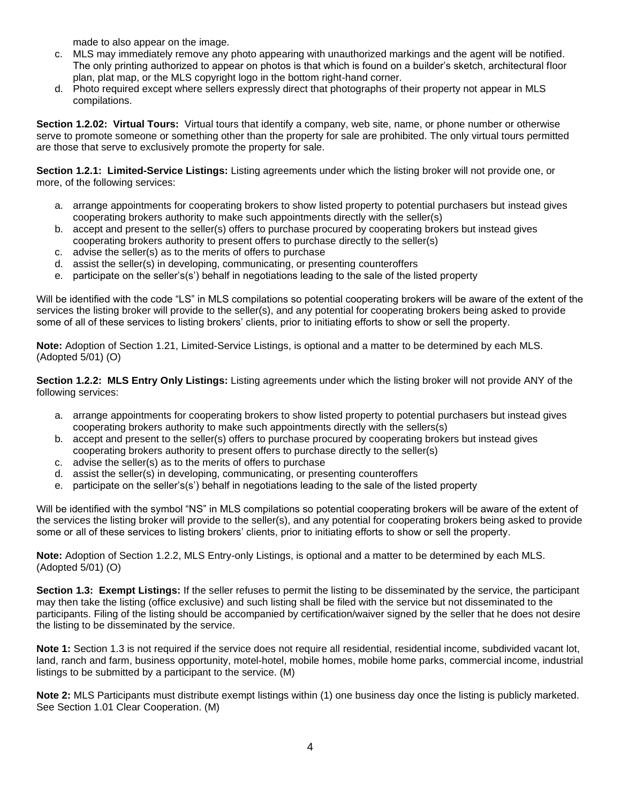made to also appear on the image.

- c. MLS may immediately remove any photo appearing with unauthorized markings and the agent will be notified. The only printing authorized to appear on photos is that which is found on a builder's sketch, architectural floor plan, plat map, or the MLS copyright logo in the bottom right-hand corner.
- d. Photo required except where sellers expressly direct that photographs of their property not appear in MLS compilations.

**Section 1.2.02: Virtual Tours:** Virtual tours that identify a company, web site, name, or phone number or otherwise serve to promote someone or something other than the property for sale are prohibited. The only virtual tours permitted are those that serve to exclusively promote the property for sale.

**Section 1.2.1: Limited-Service Listings:** Listing agreements under which the listing broker will not provide one, or more, of the following services:

- a. arrange appointments for cooperating brokers to show listed property to potential purchasers but instead gives cooperating brokers authority to make such appointments directly with the seller(s)
- b. accept and present to the seller(s) offers to purchase procured by cooperating brokers but instead gives cooperating brokers authority to present offers to purchase directly to the seller(s)
- c. advise the seller(s) as to the merits of offers to purchase
- d. assist the seller(s) in developing, communicating, or presenting counteroffers
- e. participate on the seller's(s') behalf in negotiations leading to the sale of the listed property

Will be identified with the code "LS" in MLS compilations so potential cooperating brokers will be aware of the extent of the services the listing broker will provide to the seller(s), and any potential for cooperating brokers being asked to provide some of all of these services to listing brokers' clients, prior to initiating efforts to show or sell the property.

**Note:** Adoption of Section 1.21, Limited-Service Listings, is optional and a matter to be determined by each MLS. (Adopted 5/01) (O)

**Section 1.2.2: MLS Entry Only Listings:** Listing agreements under which the listing broker will not provide ANY of the following services:

- a. arrange appointments for cooperating brokers to show listed property to potential purchasers but instead gives cooperating brokers authority to make such appointments directly with the sellers(s)
- b. accept and present to the seller(s) offers to purchase procured by cooperating brokers but instead gives cooperating brokers authority to present offers to purchase directly to the seller(s)
- c. advise the seller(s) as to the merits of offers to purchase
- d. assist the seller(s) in developing, communicating, or presenting counteroffers
- e. participate on the seller's(s') behalf in negotiations leading to the sale of the listed property

Will be identified with the symbol "NS" in MLS compilations so potential cooperating brokers will be aware of the extent of the services the listing broker will provide to the seller(s), and any potential for cooperating brokers being asked to provide some or all of these services to listing brokers' clients, prior to initiating efforts to show or sell the property.

**Note:** Adoption of Section 1.2.2, MLS Entry-only Listings, is optional and a matter to be determined by each MLS. (Adopted 5/01) (O)

**Section 1.3: Exempt Listings:** If the seller refuses to permit the listing to be disseminated by the service, the participant may then take the listing (office exclusive) and such listing shall be filed with the service but not disseminated to the participants. Filing of the listing should be accompanied by certification/waiver signed by the seller that he does not desire the listing to be disseminated by the service.

**Note 1:** Section 1.3 is not required if the service does not require all residential, residential income, subdivided vacant lot, land, ranch and farm, business opportunity, motel-hotel, mobile homes, mobile home parks, commercial income, industrial listings to be submitted by a participant to the service. (M)

**Note 2:** MLS Participants must distribute exempt listings within (1) one business day once the listing is publicly marketed. See Section 1.01 Clear Cooperation. (M)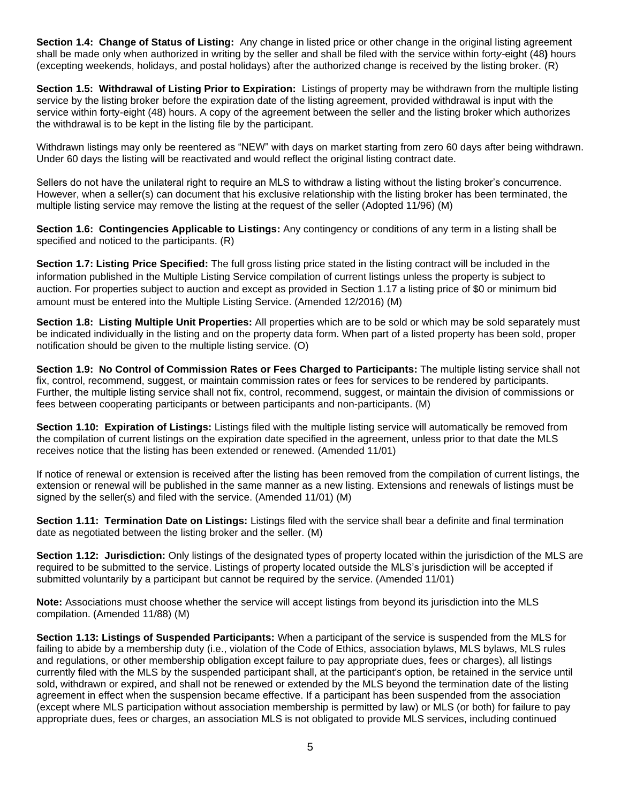**Section 1.4: Change of Status of Listing:** Any change in listed price or other change in the original listing agreement shall be made only when authorized in writing by the seller and shall be filed with the service within fort*y-*eight (48**)** hours (excepting weekends, holidays, and postal holidays) after the authorized change is received by the listing broker. (R)

**Section 1.5: Withdrawal of Listing Prior to Expiration:** Listings of property may be withdrawn from the multiple listing service by the listing broker before the expiration date of the listing agreement, provided withdrawal is input with the service within forty-eight (48) hours. A copy of the agreement between the seller and the listing broker which authorizes the withdrawal is to be kept in the listing file by the participant.

Withdrawn listings may only be reentered as "NEW" with days on market starting from zero 60 days after being withdrawn. Under 60 days the listing will be reactivated and would reflect the original listing contract date.

Sellers do not have the unilateral right to require an MLS to withdraw a listing without the listing broker's concurrence. However, when a seller(s) can document that his exclusive relationship with the listing broker has been terminated, the multiple listing service may remove the listing at the request of the seller (Adopted 11/96) (M)

**Section 1.6: Contingencies Applicable to Listings:** Any contingency or conditions of any term in a listing shall be specified and noticed to the participants. (R)

**Section 1.7: Listing Price Specified:** The full gross listing price stated in the listing contract will be included in the information published in the Multiple Listing Service compilation of current listings unless the property is subject to auction. For properties subject to auction and except as provided in Section 1.17 a listing price of \$0 or minimum bid amount must be entered into the Multiple Listing Service. (Amended 12/2016) (M)

**Section 1.8: Listing Multiple Unit Properties:** All properties which are to be sold or which may be sold separately must be indicated individually in the listing and on the property data form. When part of a listed property has been sold, proper notification should be given to the multiple listing service. (O)

**Section 1.9: No Control of Commission Rates or Fees Charged to Participants:** The multiple listing service shall not fix, control, recommend, suggest, or maintain commission rates or fees for services to be rendered by participants. Further, the multiple listing service shall not fix, control, recommend, suggest, or maintain the division of commissions or fees between cooperating participants or between participants and non-participants. (M)

**Section 1.10: Expiration of Listings:** Listings filed with the multiple listing service will automatically be removed from the compilation of current listings on the expiration date specified in the agreement, unless prior to that date the MLS receives notice that the listing has been extended or renewed. (Amended 11/01)

If notice of renewal or extension is received after the listing has been removed from the compilation of current listings, the extension or renewal will be published in the same manner as a new listing. Extensions and renewals of listings must be signed by the seller(s) and filed with the service. (Amended 11/01) (M)

**Section 1.11: Termination Date on Listings:** Listings filed with the service shall bear a definite and final termination date as negotiated between the listing broker and the seller. (M)

**Section 1.12: Jurisdiction:** Only listings of the designated types of property located within the jurisdiction of the MLS are required to be submitted to the service. Listings of property located outside the MLS's jurisdiction will be accepted if submitted voluntarily by a participant but cannot be required by the service. (Amended 11/01)

**Note:** Associations must choose whether the service will accept listings from beyond its jurisdiction into the MLS compilation. (Amended 11/88) (M)

**Section 1.13: Listings of Suspended Participants:** When a participant of the service is suspended from the MLS for failing to abide by a membership duty (i.e., violation of the Code of Ethics, association bylaws, MLS bylaws, MLS rules and regulations, or other membership obligation except failure to pay appropriate dues, fees or charges), all listings currently filed with the MLS by the suspended participant shall, at the participant's option, be retained in the service until sold, withdrawn or expired, and shall not be renewed or extended by the MLS beyond the termination date of the listing agreement in effect when the suspension became effective. If a participant has been suspended from the association (except where MLS participation without association membership is permitted by law) or MLS (or both) for failure to pay appropriate dues, fees or charges, an association MLS is not obligated to provide MLS services, including continued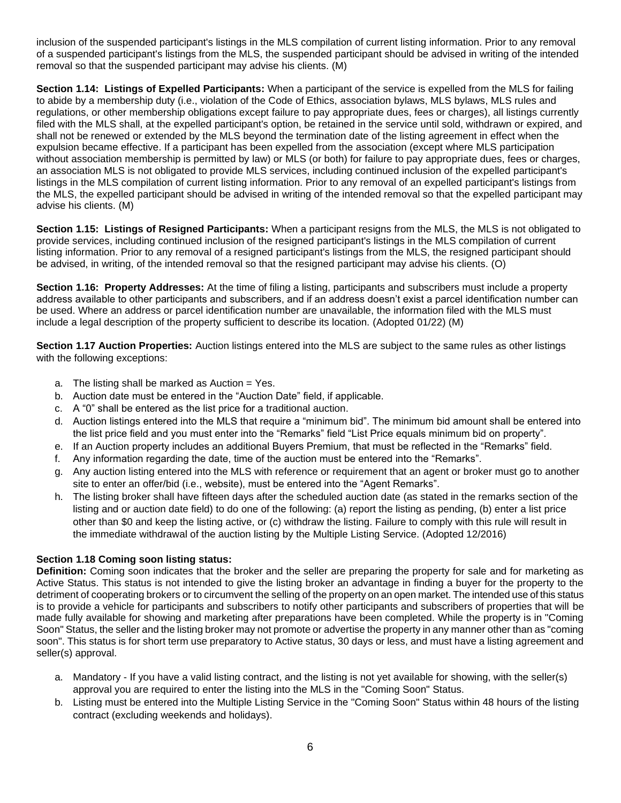inclusion of the suspended participant's listings in the MLS compilation of current listing information. Prior to any removal of a suspended participant's listings from the MLS, the suspended participant should be advised in writing of the intended removal so that the suspended participant may advise his clients. (M)

**Section 1.14: Listings of Expelled Participants:** When a participant of the service is expelled from the MLS for failing to abide by a membership duty (i.e., violation of the Code of Ethics, association bylaws, MLS bylaws, MLS rules and regulations, or other membership obligations except failure to pay appropriate dues, fees or charges), all listings currently filed with the MLS shall, at the expelled participant's option, be retained in the service until sold, withdrawn or expired, and shall not be renewed or extended by the MLS beyond the termination date of the listing agreement in effect when the expulsion became effective. If a participant has been expelled from the association (except where MLS participation without association membership is permitted by law) or MLS (or both) for failure to pay appropriate dues, fees or charges, an association MLS is not obligated to provide MLS services, including continued inclusion of the expelled participant's listings in the MLS compilation of current listing information. Prior to any removal of an expelled participant's listings from the MLS, the expelled participant should be advised in writing of the intended removal so that the expelled participant may advise his clients. (M)

**Section 1.15: Listings of Resigned Participants:** When a participant resigns from the MLS, the MLS is not obligated to provide services, including continued inclusion of the resigned participant's listings in the MLS compilation of current listing information. Prior to any removal of a resigned participant's listings from the MLS, the resigned participant should be advised, in writing, of the intended removal so that the resigned participant may advise his clients. (O)

**Section 1.16: Property Addresses:** At the time of filing a listing, participants and subscribers must include a property address available to other participants and subscribers, and if an address doesn't exist a parcel identification number can be used. Where an address or parcel identification number are unavailable, the information filed with the MLS must include a legal description of the property sufficient to describe its location. (Adopted 01/22) (M)

**Section 1.17 Auction Properties:** Auction listings entered into the MLS are subject to the same rules as other listings with the following exceptions:

- a. The listing shall be marked as Auction  $=$  Yes.
- b. Auction date must be entered in the "Auction Date" field, if applicable.
- c. A "0" shall be entered as the list price for a traditional auction.
- d. Auction listings entered into the MLS that require a "minimum bid". The minimum bid amount shall be entered into the list price field and you must enter into the "Remarks" field "List Price equals minimum bid on property".
- e. If an Auction property includes an additional Buyers Premium, that must be reflected in the "Remarks" field.
- f. Any information regarding the date, time of the auction must be entered into the "Remarks".
- g. Any auction listing entered into the MLS with reference or requirement that an agent or broker must go to another site to enter an offer/bid (i.e., website), must be entered into the "Agent Remarks".
- h. The listing broker shall have fifteen days after the scheduled auction date (as stated in the remarks section of the listing and or auction date field) to do one of the following: (a) report the listing as pending, (b) enter a list price other than \$0 and keep the listing active, or (c) withdraw the listing. Failure to comply with this rule will result in the immediate withdrawal of the auction listing by the Multiple Listing Service. (Adopted 12/2016)

### **Section 1.18 Coming soon listing status:**

**Definition:** Coming soon indicates that the broker and the seller are preparing the property for sale and for marketing as Active Status. This status is not intended to give the listing broker an advantage in finding a buyer for the property to the detriment of cooperating brokers or to circumvent the selling of the property on an open market. The intended use of this status is to provide a vehicle for participants and subscribers to notify other participants and subscribers of properties that will be made fully available for showing and marketing after preparations have been completed. While the property is in "Coming Soon" Status, the seller and the listing broker may not promote or advertise the property in any manner other than as "coming soon". This status is for short term use preparatory to Active status, 30 days or less, and must have a listing agreement and seller(s) approval.

- a. Mandatory If you have a valid listing contract, and the listing is not yet available for showing, with the seller(s) approval you are required to enter the listing into the MLS in the "Coming Soon" Status.
- b. Listing must be entered into the Multiple Listing Service in the "Coming Soon" Status within 48 hours of the listing contract (excluding weekends and holidays).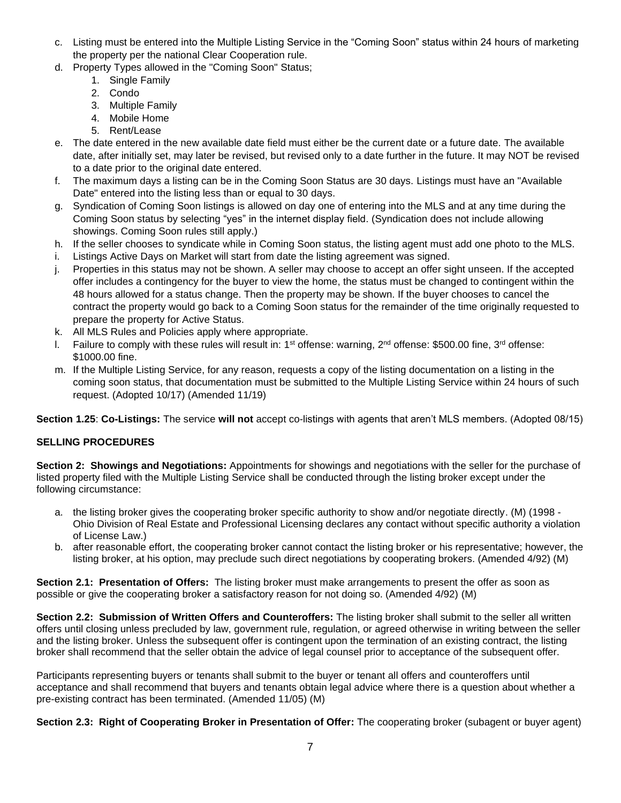- c. Listing must be entered into the Multiple Listing Service in the "Coming Soon" status within 24 hours of marketing the property per the national Clear Cooperation rule.
- d. Property Types allowed in the "Coming Soon" Status;
	- 1. Single Family
	- 2. Condo
	- 3. Multiple Family
	- 4. Mobile Home
	- 5. Rent/Lease
- e. The date entered in the new available date field must either be the current date or a future date. The available date, after initially set, may later be revised, but revised only to a date further in the future. It may NOT be revised to a date prior to the original date entered.
- f. The maximum days a listing can be in the Coming Soon Status are 30 days. Listings must have an "Available Date" entered into the listing less than or equal to 30 days.
- g. Syndication of Coming Soon listings is allowed on day one of entering into the MLS and at any time during the Coming Soon status by selecting "yes" in the internet display field. (Syndication does not include allowing showings. Coming Soon rules still apply.)
- h. If the seller chooses to syndicate while in Coming Soon status, the listing agent must add one photo to the MLS.
- i. Listings Active Days on Market will start from date the listing agreement was signed.
- j. Properties in this status may not be shown. A seller may choose to accept an offer sight unseen. If the accepted offer includes a contingency for the buyer to view the home, the status must be changed to contingent within the 48 hours allowed for a status change. Then the property may be shown. If the buyer chooses to cancel the contract the property would go back to a Coming Soon status for the remainder of the time originally requested to prepare the property for Active Status.
- k. All MLS Rules and Policies apply where appropriate.
- I. Failure to comply with these rules will result in: 1<sup>st</sup> offense: warning, 2<sup>nd</sup> offense: \$500.00 fine, 3<sup>rd</sup> offense: \$1000.00 fine.
- m. If the Multiple Listing Service, for any reason, requests a copy of the listing documentation on a listing in the coming soon status, that documentation must be submitted to the Multiple Listing Service within 24 hours of such request. (Adopted 10/17) (Amended 11/19)

**Section 1.25**: **Co-Listings:** The service **will not** accept co-listings with agents that aren't MLS members. (Adopted 08/15)

# **SELLING PROCEDURES**

**Section 2: Showings and Negotiations:** Appointments for showings and negotiations with the seller for the purchase of listed property filed with the Multiple Listing Service shall be conducted through the listing broker except under the following circumstance:

- a. the listing broker gives the cooperating broker specific authority to show and/or negotiate directly. (M) (1998 Ohio Division of Real Estate and Professional Licensing declares any contact without specific authority a violation of License Law.)
- b. after reasonable effort, the cooperating broker cannot contact the listing broker or his representative; however, the listing broker, at his option, may preclude such direct negotiations by cooperating brokers. (Amended 4/92) (M)

**Section 2.1: Presentation of Offers:** The listing broker must make arrangements to present the offer as soon as possible or give the cooperating broker a satisfactory reason for not doing so. (Amended 4/92) (M)

**Section 2.2: Submission of Written Offers and Counteroffers:** The listing broker shall submit to the seller all written offers until closing unless precluded by law, government rule, regulation, or agreed otherwise in writing between the seller and the listing broker. Unless the subsequent offer is contingent upon the termination of an existing contract, the listing broker shall recommend that the seller obtain the advice of legal counsel prior to acceptance of the subsequent offer.

Participants representing buyers or tenants shall submit to the buyer or tenant all offers and counteroffers until acceptance and shall recommend that buyers and tenants obtain legal advice where there is a question about whether a pre-existing contract has been terminated. (Amended 11/05) (M)

**Section 2.3: Right of Cooperating Broker in Presentation of Offer:** The cooperating broker (subagent or buyer agent)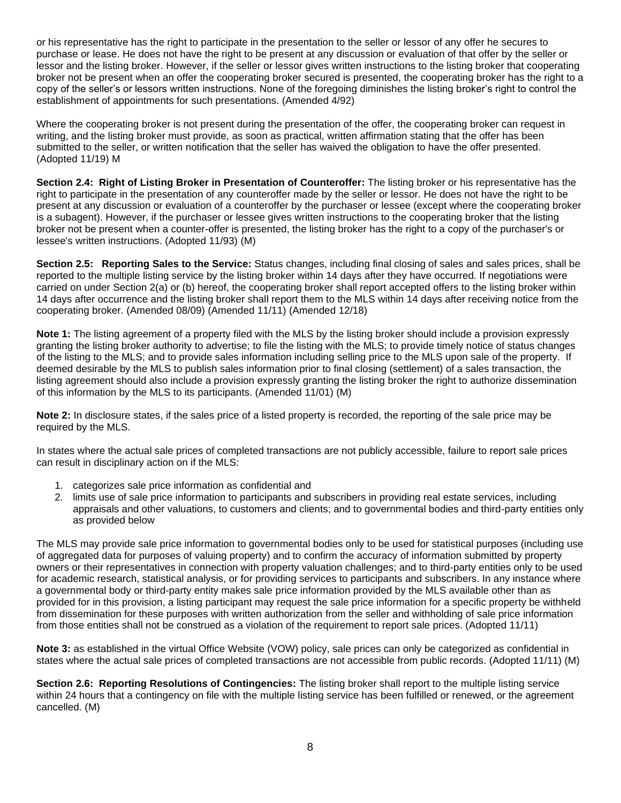or his representative has the right to participate in the presentation to the seller or lessor of any offer he secures to purchase or lease. He does not have the right to be present at any discussion or evaluation of that offer by the seller or lessor and the listing broker. However, if the seller or lessor gives written instructions to the listing broker that cooperating broker not be present when an offer the cooperating broker secured is presented, the cooperating broker has the right to a copy of the seller's or lessors written instructions. None of the foregoing diminishes the listing broker's right to control the establishment of appointments for such presentations. (Amended 4/92)

Where the cooperating broker is not present during the presentation of the offer, the cooperating broker can request in writing, and the listing broker must provide, as soon as practical, written affirmation stating that the offer has been submitted to the seller, or written notification that the seller has waived the obligation to have the offer presented. (Adopted 11/19) M

**Section 2.4: Right of Listing Broker in Presentation of Counteroffer:** The listing broker or his representative has the right to participate in the presentation of any counteroffer made by the seller or lessor. He does not have the right to be present at any discussion or evaluation of a counteroffer by the purchaser or lessee (except where the cooperating broker is a subagent). However, if the purchaser or lessee gives written instructions to the cooperating broker that the listing broker not be present when a counter-offer is presented, the listing broker has the right to a copy of the purchaser's or lessee's written instructions. (Adopted 11/93) (M)

**Section 2.5: Reporting Sales to the Service:** Status changes, including final closing of sales and sales prices, shall be reported to the multiple listing service by the listing broker within 14 days after they have occurred. If negotiations were carried on under Section 2(a) or (b) hereof, the cooperating broker shall report accepted offers to the listing broker within 14 days after occurrence and the listing broker shall report them to the MLS within 14 days after receiving notice from the cooperating broker. (Amended 08/09) (Amended 11/11) (Amended 12/18)

**Note 1:** The listing agreement of a property filed with the MLS by the listing broker should include a provision expressly granting the listing broker authority to advertise; to file the listing with the MLS; to provide timely notice of status changes of the listing to the MLS; and to provide sales information including selling price to the MLS upon sale of the property. If deemed desirable by the MLS to publish sales information prior to final closing (settlement) of a sales transaction, the listing agreement should also include a provision expressly granting the listing broker the right to authorize dissemination of this information by the MLS to its participants. (Amended 11/01) (M)

**Note 2:** In disclosure states, if the sales price of a listed property is recorded, the reporting of the sale price may be required by the MLS.

In states where the actual sale prices of completed transactions are not publicly accessible, failure to report sale prices can result in disciplinary action on if the MLS:

- 1. categorizes sale price information as confidential and
- 2. limits use of sale price information to participants and subscribers in providing real estate services, including appraisals and other valuations, to customers and clients; and to governmental bodies and third-party entities only as provided below

The MLS may provide sale price information to governmental bodies only to be used for statistical purposes (including use of aggregated data for purposes of valuing property) and to confirm the accuracy of information submitted by property owners or their representatives in connection with property valuation challenges; and to third-party entities only to be used for academic research, statistical analysis, or for providing services to participants and subscribers. In any instance where a governmental body or third-party entity makes sale price information provided by the MLS available other than as provided for in this provision, a listing participant may request the sale price information for a specific property be withheld from dissemination for these purposes with written authorization from the seller and withholding of sale price information from those entities shall not be construed as a violation of the requirement to report sale prices. (Adopted 11/11)

**Note 3:** as established in the virtual Office Website (VOW) policy, sale prices can only be categorized as confidential in states where the actual sale prices of completed transactions are not accessible from public records. (Adopted 11/11) (M)

**Section 2.6: Reporting Resolutions of Contingencies:** The listing broker shall report to the multiple listing service within 24 hours that a contingency on file with the multiple listing service has been fulfilled or renewed, or the agreement cancelled. (M)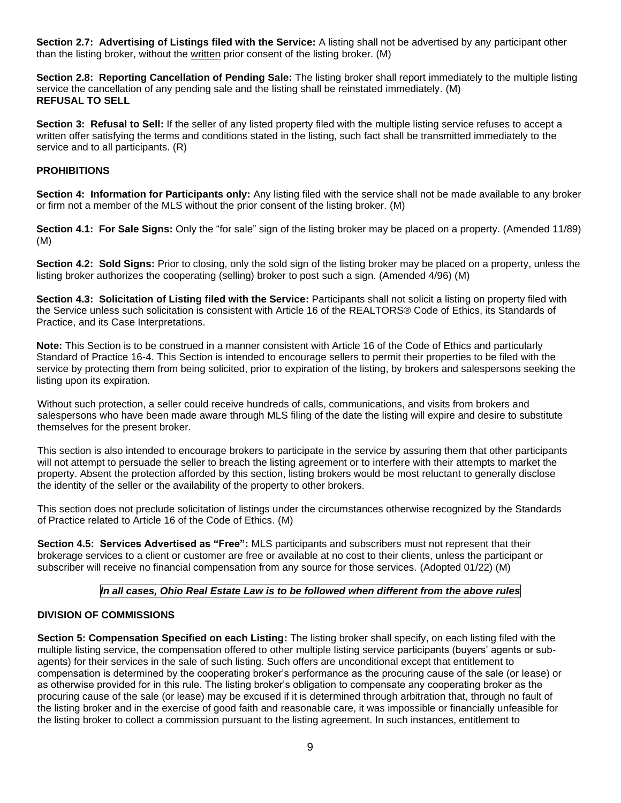**Section 2.7: Advertising of Listings filed with the Service:** A listing shall not be advertised by any participant other than the listing broker, without the written prior consent of the listing broker. (M)

**Section 2.8: Reporting Cancellation of Pending Sale:** The listing broker shall report immediately to the multiple listing service the cancellation of any pending sale and the listing shall be reinstated immediately. (M) **REFUSAL TO SELL**

**Section 3: Refusal to Sell:** If the seller of any listed property filed with the multiple listing service refuses to accept a written offer satisfying the terms and conditions stated in the listing, such fact shall be transmitted immediately to the service and to all participants. (R)

## **PROHIBITIONS**

**Section 4: Information for Participants only:** Any listing filed with the service shall not be made available to any broker or firm not a member of the MLS without the prior consent of the listing broker. (M)

**Section 4.1: For Sale Signs:** Only the "for sale" sign of the listing broker may be placed on a property. (Amended 11/89) (M)

**Section 4.2: Sold Signs:** Prior to closing, only the sold sign of the listing broker may be placed on a property, unless the listing broker authorizes the cooperating (selling) broker to post such a sign. (Amended 4/96) (M)

**Section 4.3: Solicitation of Listing filed with the Service:** Participants shall not solicit a listing on property filed with the Service unless such solicitation is consistent with Article 16 of the REALTORS® Code of Ethics, its Standards of Practice, and its Case Interpretations.

**Note:** This Section is to be construed in a manner consistent with Article 16 of the Code of Ethics and particularly Standard of Practice 16-4. This Section is intended to encourage sellers to permit their properties to be filed with the service by protecting them from being solicited, prior to expiration of the listing, by brokers and salespersons seeking the listing upon its expiration.

Without such protection, a seller could receive hundreds of calls, communications, and visits from brokers and salespersons who have been made aware through MLS filing of the date the listing will expire and desire to substitute themselves for the present broker.

This section is also intended to encourage brokers to participate in the service by assuring them that other participants will not attempt to persuade the seller to breach the listing agreement or to interfere with their attempts to market the property. Absent the protection afforded by this section, listing brokers would be most reluctant to generally disclose the identity of the seller or the availability of the property to other brokers.

This section does not preclude solicitation of listings under the circumstances otherwise recognized by the Standards of Practice related to Article 16 of the Code of Ethics. (M)

**Section 4.5: Services Advertised as "Free":** MLS participants and subscribers must not represent that their brokerage services to a client or customer are free or available at no cost to their clients, unless the participant or subscriber will receive no financial compensation from any source for those services. (Adopted 01/22) (M)

### *In all cases, Ohio Real Estate Law is to be followed when different from the above rules*

### **DIVISION OF COMMISSIONS**

**Section 5: Compensation Specified on each Listing:** The listing broker shall specify, on each listing filed with the multiple listing service, the compensation offered to other multiple listing service participants (buyers' agents or subagents) for their services in the sale of such listing. Such offers are unconditional except that entitlement to compensation is determined by the cooperating broker's performance as the procuring cause of the sale (or lease) or as otherwise provided for in this rule. The listing broker's obligation to compensate any cooperating broker as the procuring cause of the sale (or lease) may be excused if it is determined through arbitration that, through no fault of the listing broker and in the exercise of good faith and reasonable care, it was impossible or financially unfeasible for the listing broker to collect a commission pursuant to the listing agreement. In such instances, entitlement to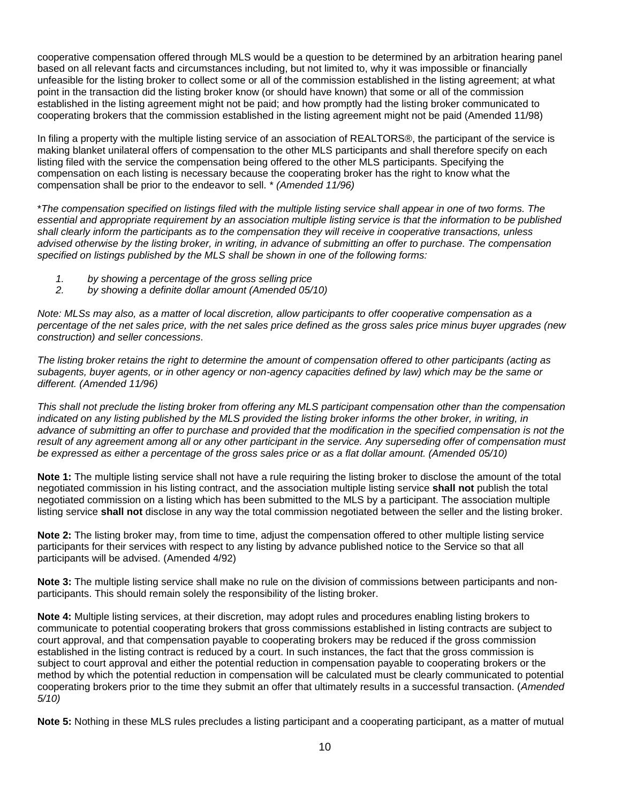cooperative compensation offered through MLS would be a question to be determined by an arbitration hearing panel based on all relevant facts and circumstances including, but not limited to, why it was impossible or financially unfeasible for the listing broker to collect some or all of the commission established in the listing agreement; at what point in the transaction did the listing broker know (or should have known) that some or all of the commission established in the listing agreement might not be paid; and how promptly had the listing broker communicated to cooperating brokers that the commission established in the listing agreement might not be paid (Amended 11/98)

In filing a property with the multiple listing service of an association of REALTORS®, the participant of the service is making blanket unilateral offers of compensation to the other MLS participants and shall therefore specify on each listing filed with the service the compensation being offered to the other MLS participants. Specifying the compensation on each listing is necessary because the cooperating broker has the right to know what the compensation shall be prior to the endeavor to sell. \* *(Amended 11/96)*

\**The compensation specified on listings filed with the multiple listing service shall appear in one of two forms. The essential and appropriate requirement by an association multiple listing service is that the information to be published shall clearly inform the participants as to the compensation they will receive in cooperative transactions, unless advised otherwise by the listing broker, in writing, in advance of submitting an offer to purchase. The compensation specified on listings published by the MLS shall be shown in one of the following forms:* 

- *1. by showing a percentage of the gross selling price*
- *2. by showing a definite dollar amount (Amended 05/10)*

*Note: MLSs may also, as a matter of local discretion, allow participants to offer cooperative compensation as a percentage of the net sales price, with the net sales price defined as the gross sales price minus buyer upgrades (new construction) and seller concessions.*

*The listing broker retains the right to determine the amount of compensation offered to other participants (acting as subagents, buyer agents, or in other agency or non-agency capacities defined by law) which may be the same or different. (Amended 11/96)*

*This shall not preclude the listing broker from offering any MLS participant compensation other than the compensation indicated on any listing published by the MLS provided the listing broker informs the other broker, in writing, in advance of submitting an offer to purchase and provided that the modification in the specified compensation is not the result of any agreement among all or any other participant in the service. Any superseding offer of compensation must be expressed as either a percentage of the gross sales price or as a flat dollar amount. (Amended 05/10)*

**Note 1:** The multiple listing service shall not have a rule requiring the listing broker to disclose the amount of the total negotiated commission in his listing contract, and the association multiple listing service **shall not** publish the total negotiated commission on a listing which has been submitted to the MLS by a participant. The association multiple listing service **shall not** disclose in any way the total commission negotiated between the seller and the listing broker.

**Note 2:** The listing broker may, from time to time, adjust the compensation offered to other multiple listing service participants for their services with respect to any listing by advance published notice to the Service so that all participants will be advised. (Amended 4/92)

**Note 3:** The multiple listing service shall make no rule on the division of commissions between participants and nonparticipants. This should remain solely the responsibility of the listing broker.

**Note 4:** Multiple listing services, at their discretion, may adopt rules and procedures enabling listing brokers to communicate to potential cooperating brokers that gross commissions established in listing contracts are subject to court approval, and that compensation payable to cooperating brokers may be reduced if the gross commission established in the listing contract is reduced by a court. In such instances, the fact that the gross commission is subject to court approval and either the potential reduction in compensation payable to cooperating brokers or the method by which the potential reduction in compensation will be calculated must be clearly communicated to potential cooperating brokers prior to the time they submit an offer that ultimately results in a successful transaction. (*Amended 5/10)*

**Note 5:** Nothing in these MLS rules precludes a listing participant and a cooperating participant, as a matter of mutual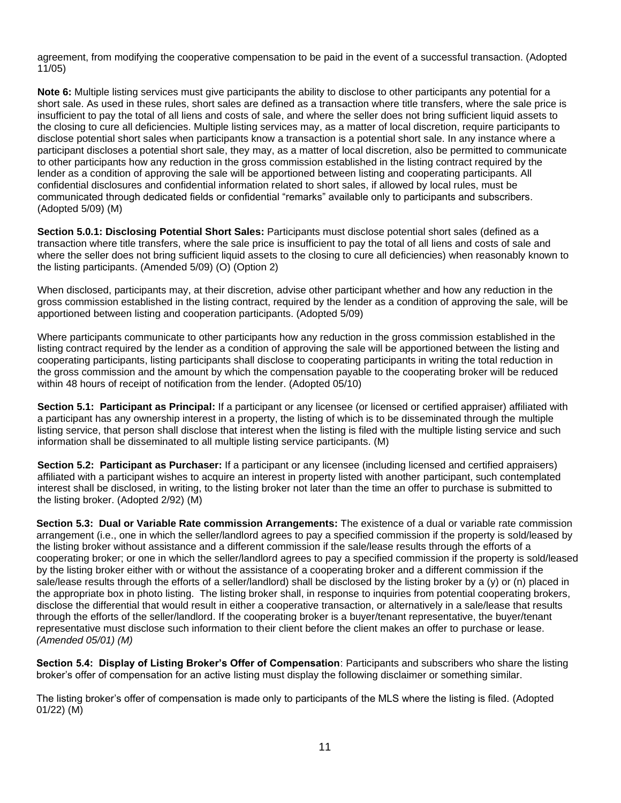agreement, from modifying the cooperative compensation to be paid in the event of a successful transaction. (Adopted 11/05)

**Note 6:** Multiple listing services must give participants the ability to disclose to other participants any potential for a short sale. As used in these rules, short sales are defined as a transaction where title transfers, where the sale price is insufficient to pay the total of all liens and costs of sale, and where the seller does not bring sufficient liquid assets to the closing to cure all deficiencies. Multiple listing services may, as a matter of local discretion, require participants to disclose potential short sales when participants know a transaction is a potential short sale. In any instance where a participant discloses a potential short sale, they may, as a matter of local discretion, also be permitted to communicate to other participants how any reduction in the gross commission established in the listing contract required by the lender as a condition of approving the sale will be apportioned between listing and cooperating participants. All confidential disclosures and confidential information related to short sales, if allowed by local rules, must be communicated through dedicated fields or confidential "remarks" available only to participants and subscribers. (Adopted 5/09) (M)

**Section 5.0.1: Disclosing Potential Short Sales:** Participants must disclose potential short sales (defined as a transaction where title transfers, where the sale price is insufficient to pay the total of all liens and costs of sale and where the seller does not bring sufficient liquid assets to the closing to cure all deficiencies) when reasonably known to the listing participants. (Amended 5/09) (O) (Option 2)

When disclosed, participants may, at their discretion, advise other participant whether and how any reduction in the gross commission established in the listing contract, required by the lender as a condition of approving the sale, will be apportioned between listing and cooperation participants. (Adopted 5/09)

Where participants communicate to other participants how any reduction in the gross commission established in the listing contract required by the lender as a condition of approving the sale will be apportioned between the listing and cooperating participants, listing participants shall disclose to cooperating participants in writing the total reduction in the gross commission and the amount by which the compensation payable to the cooperating broker will be reduced within 48 hours of receipt of notification from the lender. (Adopted 05/10)

**Section 5.1: Participant as Principal:** If a participant or any licensee (or licensed or certified appraiser) affiliated with a participant has any ownership interest in a property, the listing of which is to be disseminated through the multiple listing service, that person shall disclose that interest when the listing is filed with the multiple listing service and such information shall be disseminated to all multiple listing service participants. (M)

**Section 5.2: Participant as Purchaser:** If a participant or any licensee (including licensed and certified appraisers) affiliated with a participant wishes to acquire an interest in property listed with another participant, such contemplated interest shall be disclosed, in writing, to the listing broker not later than the time an offer to purchase is submitted to the listing broker. (Adopted 2/92) (M)

**Section 5.3: Dual or Variable Rate commission Arrangements:** The existence of a dual or variable rate commission arrangement (i.e., one in which the seller/landlord agrees to pay a specified commission if the property is sold/leased by the listing broker without assistance and a different commission if the sale/lease results through the efforts of a cooperating broker; or one in which the seller/landlord agrees to pay a specified commission if the property is sold/leased by the listing broker either with or without the assistance of a cooperating broker and a different commission if the sale/lease results through the efforts of a seller/landlord) shall be disclosed by the listing broker by a (y) or (n) placed in the appropriate box in photo listing. The listing broker shall, in response to inquiries from potential cooperating brokers, disclose the differential that would result in either a cooperative transaction, or alternatively in a sale/lease that results through the efforts of the seller/landlord. If the cooperating broker is a buyer/tenant representative, the buyer/tenant representative must disclose such information to their client before the client makes an offer to purchase or lease. *(Amended 05/01) (M)*

**Section 5.4: Display of Listing Broker's Offer of Compensation**: Participants and subscribers who share the listing broker's offer of compensation for an active listing must display the following disclaimer or something similar.

The listing broker's offer of compensation is made only to participants of the MLS where the listing is filed. (Adopted 01/22) (M)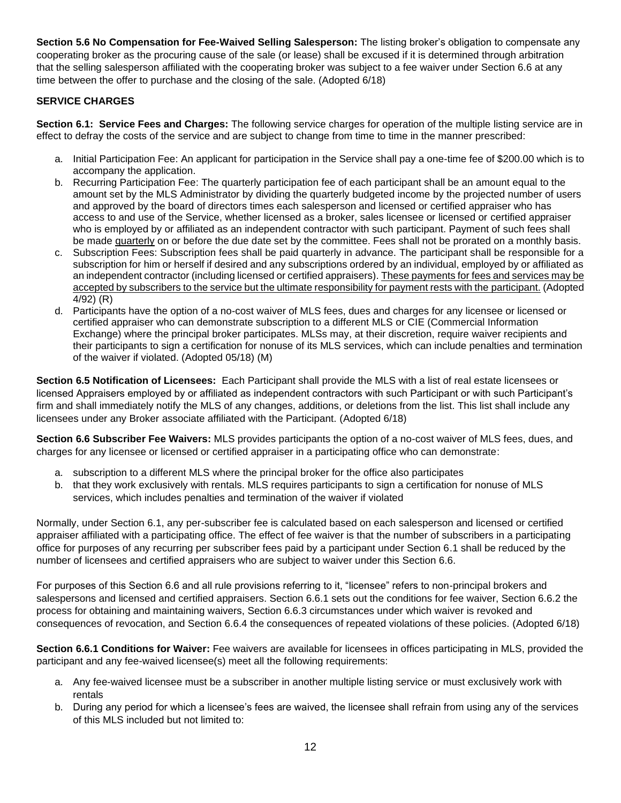**Section 5.6 No Compensation for Fee-Waived Selling Salesperson:** The listing broker's obligation to compensate any cooperating broker as the procuring cause of the sale (or lease) shall be excused if it is determined through arbitration that the selling salesperson affiliated with the cooperating broker was subject to a fee waiver under Section 6.6 at any time between the offer to purchase and the closing of the sale. (Adopted 6/18)

# **SERVICE CHARGES**

**Section 6.1: Service Fees and Charges:** The following service charges for operation of the multiple listing service are in effect to defray the costs of the service and are subject to change from time to time in the manner prescribed:

- a. Initial Participation Fee: An applicant for participation in the Service shall pay a one-time fee of \$200.00 which is to accompany the application.
- b. Recurring Participation Fee: The quarterly participation fee of each participant shall be an amount equal to the amount set by the MLS Administrator by dividing the quarterly budgeted income by the projected number of users and approved by the board of directors times each salesperson and licensed or certified appraiser who has access to and use of the Service, whether licensed as a broker, sales licensee or licensed or certified appraiser who is employed by or affiliated as an independent contractor with such participant. Payment of such fees shall be made quarterly on or before the due date set by the committee. Fees shall not be prorated on a monthly basis.
- c. Subscription Fees: Subscription fees shall be paid quarterly in advance. The participant shall be responsible for a subscription for him or herself if desired and any subscriptions ordered by an individual, employed by or affiliated as an independent contractor (including licensed or certified appraisers). These payments for fees and services may be accepted by subscribers to the service but the ultimate responsibility for payment rests with the participant. (Adopted 4/92) (R)
- d. Participants have the option of a no-cost waiver of MLS fees, dues and charges for any licensee or licensed or certified appraiser who can demonstrate subscription to a different MLS or CIE (Commercial Information Exchange) where the principal broker participates. MLSs may, at their discretion, require waiver recipients and their participants to sign a certification for nonuse of its MLS services, which can include penalties and termination of the waiver if violated. (Adopted 05/18) (M)

**Section 6.5 Notification of Licensees:** Each Participant shall provide the MLS with a list of real estate licensees or licensed Appraisers employed by or affiliated as independent contractors with such Participant or with such Participant's firm and shall immediately notify the MLS of any changes, additions, or deletions from the list. This list shall include any licensees under any Broker associate affiliated with the Participant. (Adopted 6/18)

**Section 6.6 Subscriber Fee Waivers:** MLS provides participants the option of a no-cost waiver of MLS fees, dues, and charges for any licensee or licensed or certified appraiser in a participating office who can demonstrate:

- a. subscription to a different MLS where the principal broker for the office also participates
- b. that they work exclusively with rentals. MLS requires participants to sign a certification for nonuse of MLS services, which includes penalties and termination of the waiver if violated

Normally, under Section 6.1, any per-subscriber fee is calculated based on each salesperson and licensed or certified appraiser affiliated with a participating office. The effect of fee waiver is that the number of subscribers in a participating office for purposes of any recurring per subscriber fees paid by a participant under Section 6.1 shall be reduced by the number of licensees and certified appraisers who are subject to waiver under this Section 6.6.

For purposes of this Section 6.6 and all rule provisions referring to it, "licensee" refers to non-principal brokers and salespersons and licensed and certified appraisers. Section 6.6.1 sets out the conditions for fee waiver, Section 6.6.2 the process for obtaining and maintaining waivers, Section 6.6.3 circumstances under which waiver is revoked and consequences of revocation, and Section 6.6.4 the consequences of repeated violations of these policies. (Adopted 6/18)

**Section 6.6.1 Conditions for Waiver:** Fee waivers are available for licensees in offices participating in MLS, provided the participant and any fee-waived licensee(s) meet all the following requirements:

- a. Any fee-waived licensee must be a subscriber in another multiple listing service or must exclusively work with rentals
- b. During any period for which a licensee's fees are waived, the licensee shall refrain from using any of the services of this MLS included but not limited to: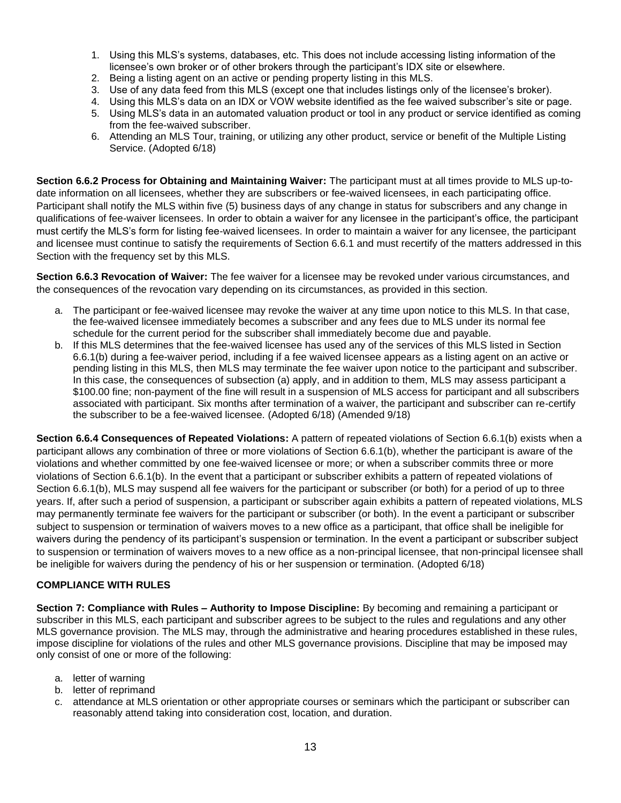- 1. Using this MLS's systems, databases, etc. This does not include accessing listing information of the licensee's own broker or of other brokers through the participant's IDX site or elsewhere.
- 2. Being a listing agent on an active or pending property listing in this MLS.
- 3. Use of any data feed from this MLS (except one that includes listings only of the licensee's broker).
- 4. Using this MLS's data on an IDX or VOW website identified as the fee waived subscriber's site or page.
- 5. Using MLS's data in an automated valuation product or tool in any product or service identified as coming from the fee-waived subscriber.
- 6. Attending an MLS Tour, training, or utilizing any other product, service or benefit of the Multiple Listing Service. (Adopted 6/18)

**Section 6.6.2 Process for Obtaining and Maintaining Waiver:** The participant must at all times provide to MLS up-todate information on all licensees, whether they are subscribers or fee-waived licensees, in each participating office. Participant shall notify the MLS within five (5) business days of any change in status for subscribers and any change in qualifications of fee-waiver licensees. In order to obtain a waiver for any licensee in the participant's office, the participant must certify the MLS's form for listing fee-waived licensees. In order to maintain a waiver for any licensee, the participant and licensee must continue to satisfy the requirements of Section 6.6.1 and must recertify of the matters addressed in this Section with the frequency set by this MLS.

**Section 6.6.3 Revocation of Waiver:** The fee waiver for a licensee may be revoked under various circumstances, and the consequences of the revocation vary depending on its circumstances, as provided in this section.

- a. The participant or fee-waived licensee may revoke the waiver at any time upon notice to this MLS. In that case, the fee-waived licensee immediately becomes a subscriber and any fees due to MLS under its normal fee schedule for the current period for the subscriber shall immediately become due and payable.
- b. If this MLS determines that the fee-waived licensee has used any of the services of this MLS listed in Section 6.6.1(b) during a fee-waiver period, including if a fee waived licensee appears as a listing agent on an active or pending listing in this MLS, then MLS may terminate the fee waiver upon notice to the participant and subscriber. In this case, the consequences of subsection (a) apply, and in addition to them, MLS may assess participant a \$100.00 fine; non-payment of the fine will result in a suspension of MLS access for participant and all subscribers associated with participant. Six months after termination of a waiver, the participant and subscriber can re-certify the subscriber to be a fee-waived licensee. (Adopted 6/18) (Amended 9/18)

**Section 6.6.4 Consequences of Repeated Violations:** A pattern of repeated violations of Section 6.6.1(b) exists when a participant allows any combination of three or more violations of Section 6.6.1(b), whether the participant is aware of the violations and whether committed by one fee-waived licensee or more; or when a subscriber commits three or more violations of Section 6.6.1(b). In the event that a participant or subscriber exhibits a pattern of repeated violations of Section 6.6.1(b), MLS may suspend all fee waivers for the participant or subscriber (or both) for a period of up to three years. If, after such a period of suspension, a participant or subscriber again exhibits a pattern of repeated violations, MLS may permanently terminate fee waivers for the participant or subscriber (or both). In the event a participant or subscriber subject to suspension or termination of waivers moves to a new office as a participant, that office shall be ineligible for waivers during the pendency of its participant's suspension or termination. In the event a participant or subscriber subject to suspension or termination of waivers moves to a new office as a non-principal licensee, that non-principal licensee shall be ineligible for waivers during the pendency of his or her suspension or termination. (Adopted 6/18)

### **COMPLIANCE WITH RULES**

**Section 7: Compliance with Rules – Authority to Impose Discipline:** By becoming and remaining a participant or subscriber in this MLS, each participant and subscriber agrees to be subject to the rules and regulations and any other MLS governance provision. The MLS may, through the administrative and hearing procedures established in these rules, impose discipline for violations of the rules and other MLS governance provisions. Discipline that may be imposed may only consist of one or more of the following:

- a. letter of warning
- b. letter of reprimand
- c. attendance at MLS orientation or other appropriate courses or seminars which the participant or subscriber can reasonably attend taking into consideration cost, location, and duration.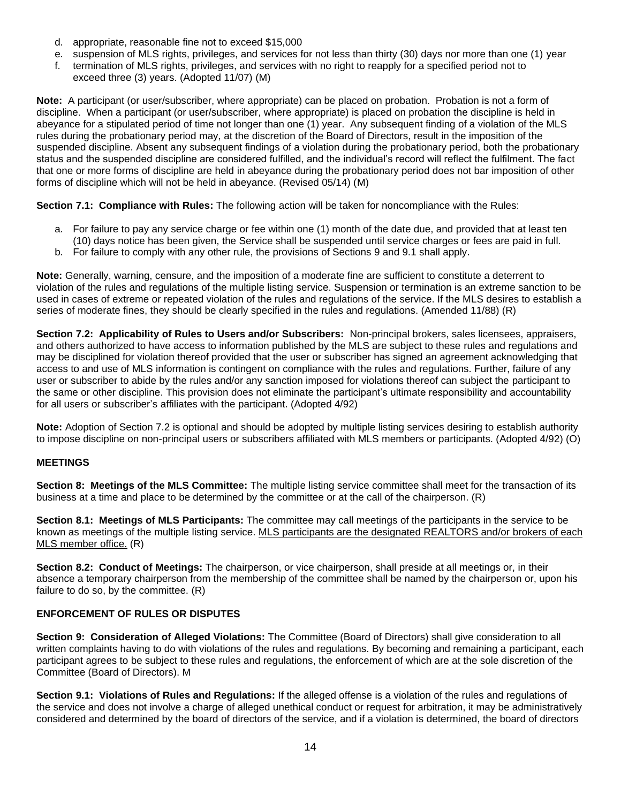- d. appropriate, reasonable fine not to exceed \$15,000
- e. suspension of MLS rights, privileges, and services for not less than thirty (30) days nor more than one (1) year
- f. termination of MLS rights, privileges, and services with no right to reapply for a specified period not to exceed three (3) years. (Adopted 11/07) (M)

**Note:** A participant (or user/subscriber, where appropriate) can be placed on probation. Probation is not a form of discipline. When a participant (or user/subscriber, where appropriate) is placed on probation the discipline is held in abeyance for a stipulated period of time not longer than one (1) year. Any subsequent finding of a violation of the MLS rules during the probationary period may, at the discretion of the Board of Directors, result in the imposition of the suspended discipline. Absent any subsequent findings of a violation during the probationary period, both the probationary status and the suspended discipline are considered fulfilled, and the individual's record will reflect the fulfilment. The fact that one or more forms of discipline are held in abeyance during the probationary period does not bar imposition of other forms of discipline which will not be held in abeyance. (Revised 05/14) (M)

**Section 7.1: Compliance with Rules:** The following action will be taken for noncompliance with the Rules:

- a. For failure to pay any service charge or fee within one (1) month of the date due, and provided that at least ten (10) days notice has been given, the Service shall be suspended until service charges or fees are paid in full.
- b. For failure to comply with any other rule, the provisions of Sections 9 and 9.1 shall apply.

**Note:** Generally, warning, censure, and the imposition of a moderate fine are sufficient to constitute a deterrent to violation of the rules and regulations of the multiple listing service. Suspension or termination is an extreme sanction to be used in cases of extreme or repeated violation of the rules and regulations of the service. If the MLS desires to establish a series of moderate fines, they should be clearly specified in the rules and regulations. (Amended 11/88) (R)

**Section 7.2: Applicability of Rules to Users and/or Subscribers:** Non-principal brokers, sales licensees, appraisers, and others authorized to have access to information published by the MLS are subject to these rules and regulations and may be disciplined for violation thereof provided that the user or subscriber has signed an agreement acknowledging that access to and use of MLS information is contingent on compliance with the rules and regulations. Further, failure of any user or subscriber to abide by the rules and/or any sanction imposed for violations thereof can subject the participant to the same or other discipline. This provision does not eliminate the participant's ultimate responsibility and accountability for all users or subscriber's affiliates with the participant. (Adopted 4/92)

**Note:** Adoption of Section 7.2 is optional and should be adopted by multiple listing services desiring to establish authority to impose discipline on non-principal users or subscribers affiliated with MLS members or participants. (Adopted 4/92) (O)

### **MEETINGS**

**Section 8: Meetings of the MLS Committee:** The multiple listing service committee shall meet for the transaction of its business at a time and place to be determined by the committee or at the call of the chairperson. (R)

**Section 8.1: Meetings of MLS Participants:** The committee may call meetings of the participants in the service to be known as meetings of the multiple listing service. MLS participants are the designated REALTORS and/or brokers of each MLS member office. (R)

**Section 8.2: Conduct of Meetings:** The chairperson, or vice chairperson, shall preside at all meetings or, in their absence a temporary chairperson from the membership of the committee shall be named by the chairperson or, upon his failure to do so, by the committee. (R)

### **ENFORCEMENT OF RULES OR DISPUTES**

**Section 9: Consideration of Alleged Violations:** The Committee (Board of Directors) shall give consideration to all written complaints having to do with violations of the rules and regulations. By becoming and remaining a participant, each participant agrees to be subject to these rules and regulations, the enforcement of which are at the sole discretion of the Committee (Board of Directors). M

**Section 9.1: Violations of Rules and Regulations:** If the alleged offense is a violation of the rules and regulations of the service and does not involve a charge of alleged unethical conduct or request for arbitration, it may be administratively considered and determined by the board of directors of the service, and if a violation is determined, the board of directors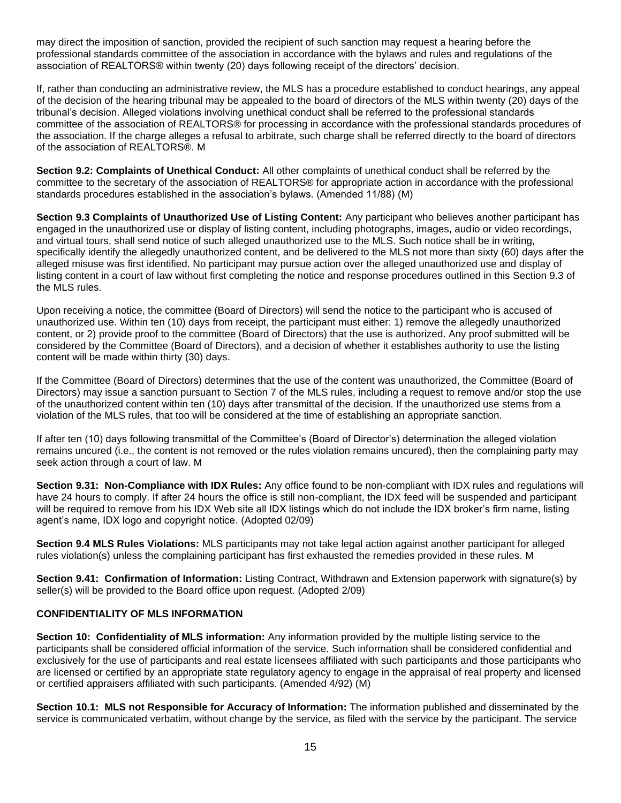may direct the imposition of sanction, provided the recipient of such sanction may request a hearing before the professional standards committee of the association in accordance with the bylaws and rules and regulations of the association of REALTORS® within twenty (20) days following receipt of the directors' decision.

If, rather than conducting an administrative review, the MLS has a procedure established to conduct hearings, any appeal of the decision of the hearing tribunal may be appealed to the board of directors of the MLS within twenty (20) days of the tribunal's decision. Alleged violations involving unethical conduct shall be referred to the professional standards committee of the association of REALTORS® for processing in accordance with the professional standards procedures of the association. If the charge alleges a refusal to arbitrate, such charge shall be referred directly to the board of directors of the association of REALTORS®. M

**Section 9.2: Complaints of Unethical Conduct:** All other complaints of unethical conduct shall be referred by the committee to the secretary of the association of REALTORS® for appropriate action in accordance with the professional standards procedures established in the association's bylaws. (Amended 11/88) (M)

**Section 9.3 Complaints of Unauthorized Use of Listing Content:** Any participant who believes another participant has engaged in the unauthorized use or display of listing content, including photographs, images, audio or video recordings, and virtual tours, shall send notice of such alleged unauthorized use to the MLS. Such notice shall be in writing, specifically identify the allegedly unauthorized content, and be delivered to the MLS not more than sixty (60) days after the alleged misuse was first identified. No participant may pursue action over the alleged unauthorized use and display of listing content in a court of law without first completing the notice and response procedures outlined in this Section 9.3 of the MLS rules.

Upon receiving a notice, the committee (Board of Directors) will send the notice to the participant who is accused of unauthorized use. Within ten (10) days from receipt, the participant must either: 1) remove the allegedly unauthorized content, or 2) provide proof to the committee (Board of Directors) that the use is authorized. Any proof submitted will be considered by the Committee (Board of Directors), and a decision of whether it establishes authority to use the listing content will be made within thirty (30) days.

If the Committee (Board of Directors) determines that the use of the content was unauthorized, the Committee (Board of Directors) may issue a sanction pursuant to Section 7 of the MLS rules, including a request to remove and/or stop the use of the unauthorized content within ten (10) days after transmittal of the decision. If the unauthorized use stems from a violation of the MLS rules, that too will be considered at the time of establishing an appropriate sanction.

If after ten (10) days following transmittal of the Committee's (Board of Director's) determination the alleged violation remains uncured (i.e., the content is not removed or the rules violation remains uncured), then the complaining party may seek action through a court of law. M

**Section 9.31: Non-Compliance with IDX Rules:** Any office found to be non-compliant with IDX rules and regulations will have 24 hours to comply. If after 24 hours the office is still non-compliant, the IDX feed will be suspended and participant will be required to remove from his IDX Web site all IDX listings which do not include the IDX broker's firm name, listing agent's name, IDX logo and copyright notice. (Adopted 02/09)

**Section 9.4 MLS Rules Violations:** MLS participants may not take legal action against another participant for alleged rules violation(s) unless the complaining participant has first exhausted the remedies provided in these rules. M

**Section 9.41: Confirmation of Information:** Listing Contract, Withdrawn and Extension paperwork with signature(s) by seller(s) will be provided to the Board office upon request. (Adopted 2/09)

### **CONFIDENTIALITY OF MLS INFORMATION**

**Section 10: Confidentiality of MLS information:** Any information provided by the multiple listing service to the participants shall be considered official information of the service. Such information shall be considered confidential and exclusively for the use of participants and real estate licensees affiliated with such participants and those participants who are licensed or certified by an appropriate state regulatory agency to engage in the appraisal of real property and licensed or certified appraisers affiliated with such participants. (Amended 4/92) (M)

**Section 10.1: MLS not Responsible for Accuracy of Information:** The information published and disseminated by the service is communicated verbatim, without change by the service, as filed with the service by the participant. The service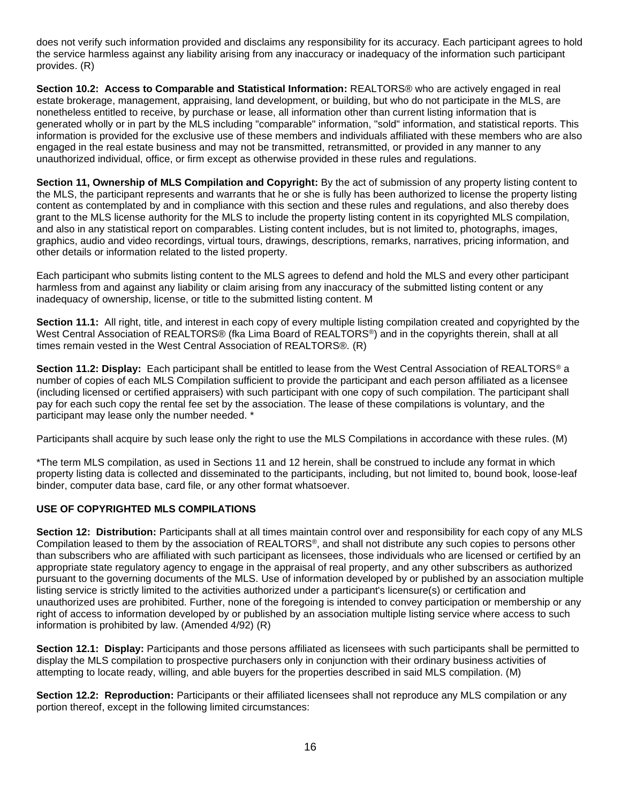does not verify such information provided and disclaims any responsibility for its accuracy. Each participant agrees to hold the service harmless against any liability arising from any inaccuracy or inadequacy of the information such participant provides. (R)

**Section 10.2: Access to Comparable and Statistical Information:** REALTORS® who are actively engaged in real estate brokerage, management, appraising, land development, or building, but who do not participate in the MLS, are nonetheless entitled to receive, by purchase or lease, all information other than current listing information that is generated wholly or in part by the MLS including "comparable" information, "sold" information, and statistical reports. This information is provided for the exclusive use of these members and individuals affiliated with these members who are also engaged in the real estate business and may not be transmitted, retransmitted, or provided in any manner to any unauthorized individual, office, or firm except as otherwise provided in these rules and regulations.

**Section 11, Ownership of MLS Compilation and Copyright:** By the act of submission of any property listing content to the MLS, the participant represents and warrants that he or she is fully has been authorized to license the property listing content as contemplated by and in compliance with this section and these rules and regulations, and also thereby does grant to the MLS license authority for the MLS to include the property listing content in its copyrighted MLS compilation, and also in any statistical report on comparables. Listing content includes, but is not limited to, photographs, images, graphics, audio and video recordings, virtual tours, drawings, descriptions, remarks, narratives, pricing information, and other details or information related to the listed property.

Each participant who submits listing content to the MLS agrees to defend and hold the MLS and every other participant harmless from and against any liability or claim arising from any inaccuracy of the submitted listing content or any inadequacy of ownership, license, or title to the submitted listing content. M

**Section 11.1:** All right, title, and interest in each copy of every multiple listing compilation created and copyrighted by the West Central Association of REALTORS® (fka Lima Board of REALTORS<sup>®</sup>) and in the copyrights therein, shall at all times remain vested in the West Central Association of REALTORS®. (R)

**Section 11.2: Display:** Each participant shall be entitled to lease from the West Central Association of REALTORS® a number of copies of each MLS Compilation sufficient to provide the participant and each person affiliated as a licensee (including licensed or certified appraisers) with such participant with one copy of such compilation. The participant shall pay for each such copy the rental fee set by the association. The lease of these compilations is voluntary, and the participant may lease only the number needed. \*

Participants shall acquire by such lease only the right to use the MLS Compilations in accordance with these rules. (M)

\*The term MLS compilation, as used in Sections 11 and 12 herein, shall be construed to include any format in which property listing data is collected and disseminated to the participants, including, but not limited to, bound book, loose-leaf binder, computer data base, card file, or any other format whatsoever.

### **USE OF COPYRIGHTED MLS COMPILATIONS**

**Section 12: Distribution:** Participants shall at all times maintain control over and responsibility for each copy of any MLS Compilation leased to them by the association of REALTORS®, and shall not distribute any such copies to persons other than subscribers who are affiliated with such participant as licensees, those individuals who are licensed or certified by an appropriate state regulatory agency to engage in the appraisal of real property, and any other subscribers as authorized pursuant to the governing documents of the MLS. Use of information developed by or published by an association multiple listing service is strictly limited to the activities authorized under a participant's licensure(s) or certification and unauthorized uses are prohibited. Further, none of the foregoing is intended to convey participation or membership or any right of access to information developed by or published by an association multiple listing service where access to such information is prohibited by law. (Amended 4/92) (R)

**Section 12.1: Display:** Participants and those persons affiliated as licensees with such participants shall be permitted to display the MLS compilation to prospective purchasers only in conjunction with their ordinary business activities of attempting to locate ready, willing, and able buyers for the properties described in said MLS compilation. (M)

**Section 12.2: Reproduction:** Participants or their affiliated licensees shall not reproduce any MLS compilation or any portion thereof, except in the following limited circumstances: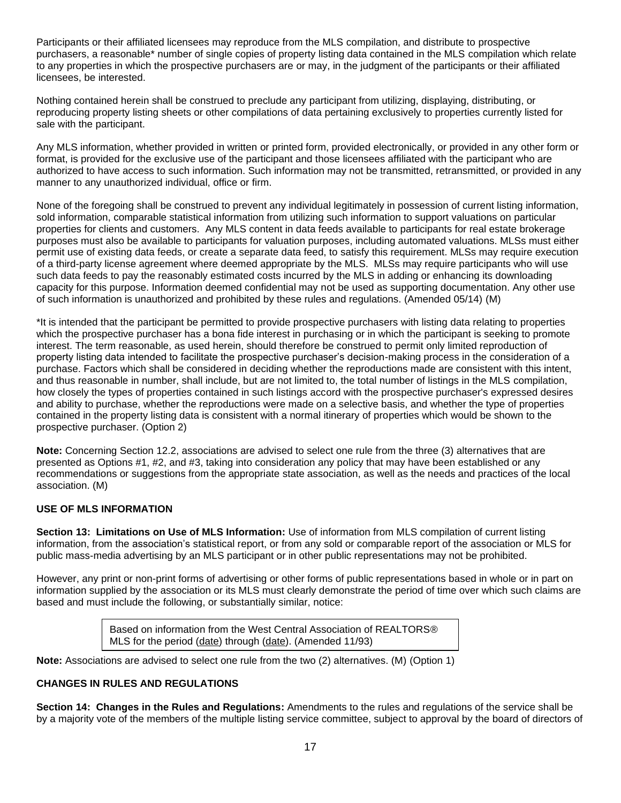Participants or their affiliated licensees may reproduce from the MLS compilation, and distribute to prospective purchasers, a reasonable\* number of single copies of property listing data contained in the MLS compilation which relate to any properties in which the prospective purchasers are or may, in the judgment of the participants or their affiliated licensees, be interested.

Nothing contained herein shall be construed to preclude any participant from utilizing, displaying, distributing, or reproducing property listing sheets or other compilations of data pertaining exclusively to properties currently listed for sale with the participant.

Any MLS information, whether provided in written or printed form, provided electronically, or provided in any other form or format, is provided for the exclusive use of the participant and those licensees affiliated with the participant who are authorized to have access to such information. Such information may not be transmitted, retransmitted, or provided in any manner to any unauthorized individual, office or firm.

None of the foregoing shall be construed to prevent any individual legitimately in possession of current listing information, sold information, comparable statistical information from utilizing such information to support valuations on particular properties for clients and customers. Any MLS content in data feeds available to participants for real estate brokerage purposes must also be available to participants for valuation purposes, including automated valuations. MLSs must either permit use of existing data feeds, or create a separate data feed, to satisfy this requirement. MLSs may require execution of a third-party license agreement where deemed appropriate by the MLS. MLSs may require participants who will use such data feeds to pay the reasonably estimated costs incurred by the MLS in adding or enhancing its downloading capacity for this purpose. Information deemed confidential may not be used as supporting documentation. Any other use of such information is unauthorized and prohibited by these rules and regulations. (Amended 05/14) (M)

\*It is intended that the participant be permitted to provide prospective purchasers with listing data relating to properties which the prospective purchaser has a bona fide interest in purchasing or in which the participant is seeking to promote interest. The term reasonable, as used herein, should therefore be construed to permit only limited reproduction of property listing data intended to facilitate the prospective purchaser's decision-making process in the consideration of a purchase. Factors which shall be considered in deciding whether the reproductions made are consistent with this intent, and thus reasonable in number, shall include, but are not limited to, the total number of listings in the MLS compilation, how closely the types of properties contained in such listings accord with the prospective purchaser's expressed desires and ability to purchase, whether the reproductions were made on a selective basis, and whether the type of properties contained in the property listing data is consistent with a normal itinerary of properties which would be shown to the prospective purchaser. (Option 2)

**Note:** Concerning Section 12.2, associations are advised to select one rule from the three (3) alternatives that are presented as Options #1, #2, and #3, taking into consideration any policy that may have been established or any recommendations or suggestions from the appropriate state association, as well as the needs and practices of the local association. (M)

### **USE OF MLS INFORMATION**

**Section 13: Limitations on Use of MLS Information:** Use of information from MLS compilation of current listing information, from the association's statistical report, or from any sold or comparable report of the association or MLS for public mass-media advertising by an MLS participant or in other public representations may not be prohibited.

However, any print or non-print forms of advertising or other forms of public representations based in whole or in part on information supplied by the association or its MLS must clearly demonstrate the period of time over which such claims are based and must include the following, or substantially similar, notice:

> Based on information from the West Central Association of REALTORS® MLS for the period (date) through (date). (Amended 11/93)

**Note:** Associations are advised to select one rule from the two (2) alternatives. (M) (Option 1)

### **CHANGES IN RULES AND REGULATIONS**

**Section 14: Changes in the Rules and Regulations:** Amendments to the rules and regulations of the service shall be by a majority vote of the members of the multiple listing service committee, subject to approval by the board of directors of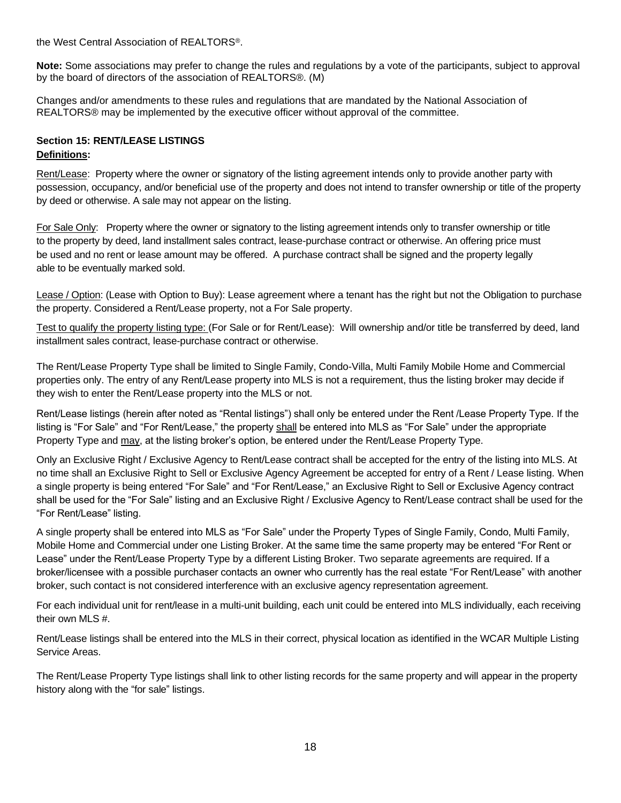the West Central Association of REALTORS®.

**Note:** Some associations may prefer to change the rules and regulations by a vote of the participants, subject to approval by the board of directors of the association of REALTORS®. (M)

Changes and/or amendments to these rules and regulations that are mandated by the National Association of REALTORS® may be implemented by the executive officer without approval of the committee.

# **Section 15: RENT/LEASE LISTINGS Definitions:**

Rent/Lease: Property where the owner or signatory of the listing agreement intends only to provide another party with possession, occupancy, and/or beneficial use of the property and does not intend to transfer ownership or title of the property by deed or otherwise. A sale may not appear on the listing.

For Sale Only: Property where the owner or signatory to the listing agreement intends only to transfer ownership or title to the property by deed, land installment sales contract, lease-purchase contract or otherwise. An offering price must be used and no rent or lease amount may be offered. A purchase contract shall be signed and the property legally able to be eventually marked sold.

Lease / Option: (Lease with Option to Buy): Lease agreement where a tenant has the right but not the Obligation to purchase the property. Considered a Rent/Lease property, not a For Sale property.

Test to qualify the property listing type: (For Sale or for Rent/Lease): Will ownership and/or title be transferred by deed, land installment sales contract, lease-purchase contract or otherwise.

The Rent/Lease Property Type shall be limited to Single Family, Condo-Villa, Multi Family Mobile Home and Commercial properties only. The entry of any Rent/Lease property into MLS is not a requirement, thus the listing broker may decide if they wish to enter the Rent/Lease property into the MLS or not.

Rent/Lease listings (herein after noted as "Rental listings") shall only be entered under the Rent /Lease Property Type. If the listing is "For Sale" and "For Rent/Lease," the property shall be entered into MLS as "For Sale" under the appropriate Property Type and may, at the listing broker's option, be entered under the Rent/Lease Property Type.

Only an Exclusive Right / Exclusive Agency to Rent/Lease contract shall be accepted for the entry of the listing into MLS. At no time shall an Exclusive Right to Sell or Exclusive Agency Agreement be accepted for entry of a Rent / Lease listing. When a single property is being entered "For Sale" and "For Rent/Lease," an Exclusive Right to Sell or Exclusive Agency contract shall be used for the "For Sale" listing and an Exclusive Right / Exclusive Agency to Rent/Lease contract shall be used for the "For Rent/Lease" listing.

A single property shall be entered into MLS as "For Sale" under the Property Types of Single Family, Condo, Multi Family, Mobile Home and Commercial under one Listing Broker. At the same time the same property may be entered "For Rent or Lease" under the Rent/Lease Property Type by a different Listing Broker. Two separate agreements are required. If a broker/licensee with a possible purchaser contacts an owner who currently has the real estate "For Rent/Lease" with another broker, such contact is not considered interference with an exclusive agency representation agreement.

For each individual unit for rent/lease in a multi-unit building, each unit could be entered into MLS individually, each receiving their own MLS #.

Rent/Lease listings shall be entered into the MLS in their correct, physical location as identified in the WCAR Multiple Listing Service Areas.

The Rent/Lease Property Type listings shall link to other listing records for the same property and will appear in the property history along with the "for sale" listings.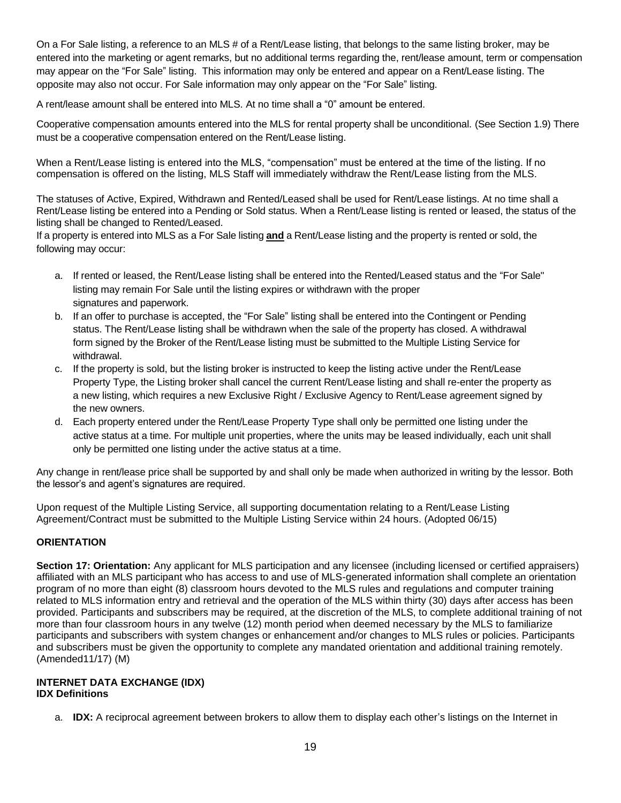On a For Sale listing, a reference to an MLS # of a Rent/Lease listing, that belongs to the same listing broker, may be entered into the marketing or agent remarks, but no additional terms regarding the, rent/lease amount, term or compensation may appear on the "For Sale" listing. This information may only be entered and appear on a Rent/Lease listing. The opposite may also not occur. For Sale information may only appear on the "For Sale" listing.

A rent/lease amount shall be entered into MLS. At no time shall a "0" amount be entered.

Cooperative compensation amounts entered into the MLS for rental property shall be unconditional. (See Section 1.9) There must be a cooperative compensation entered on the Rent/Lease listing.

When a Rent/Lease listing is entered into the MLS, "compensation" must be entered at the time of the listing. If no compensation is offered on the listing, MLS Staff will immediately withdraw the Rent/Lease listing from the MLS.

The statuses of Active, Expired, Withdrawn and Rented/Leased shall be used for Rent/Lease listings. At no time shall a Rent/Lease listing be entered into a Pending or Sold status. When a Rent/Lease listing is rented or leased, the status of the listing shall be changed to Rented/Leased.

If a property is entered into MLS as a For Sale listing **and** a Rent/Lease listing and the property is rented or sold, the following may occur:

- a. If rented or leased, the Rent/Lease listing shall be entered into the Rented/Leased status and the "For Sale" listing may remain For Sale until the listing expires or withdrawn with the proper signatures and paperwork.
- b. If an offer to purchase is accepted, the "For Sale" listing shall be entered into the Contingent or Pending status. The Rent/Lease listing shall be withdrawn when the sale of the property has closed. A withdrawal form signed by the Broker of the Rent/Lease listing must be submitted to the Multiple Listing Service for withdrawal.
- c. If the property is sold, but the listing broker is instructed to keep the listing active under the Rent/Lease Property Type, the Listing broker shall cancel the current Rent/Lease listing and shall re-enter the property as a new listing, which requires a new Exclusive Right / Exclusive Agency to Rent/Lease agreement signed by the new owners.
- d. Each property entered under the Rent/Lease Property Type shall only be permitted one listing under the active status at a time. For multiple unit properties, where the units may be leased individually, each unit shall only be permitted one listing under the active status at a time.

Any change in rent/lease price shall be supported by and shall only be made when authorized in writing by the lessor. Both the lessor's and agent's signatures are required.

Upon request of the Multiple Listing Service, all supporting documentation relating to a Rent/Lease Listing Agreement/Contract must be submitted to the Multiple Listing Service within 24 hours. (Adopted 06/15)

### **ORIENTATION**

**Section 17: Orientation:** Any applicant for MLS participation and any licensee (including licensed or certified appraisers) affiliated with an MLS participant who has access to and use of MLS-generated information shall complete an orientation program of no more than eight (8) classroom hours devoted to the MLS rules and regulations and computer training related to MLS information entry and retrieval and the operation of the MLS within thirty (30) days after access has been provided. Participants and subscribers may be required, at the discretion of the MLS, to complete additional training of not more than four classroom hours in any twelve (12) month period when deemed necessary by the MLS to familiarize participants and subscribers with system changes or enhancement and/or changes to MLS rules or policies. Participants and subscribers must be given the opportunity to complete any mandated orientation and additional training remotely. (Amended11/17) (M)

#### **INTERNET DATA EXCHANGE (IDX) IDX Definitions**

a. **IDX:** A reciprocal agreement between brokers to allow them to display each other's listings on the Internet in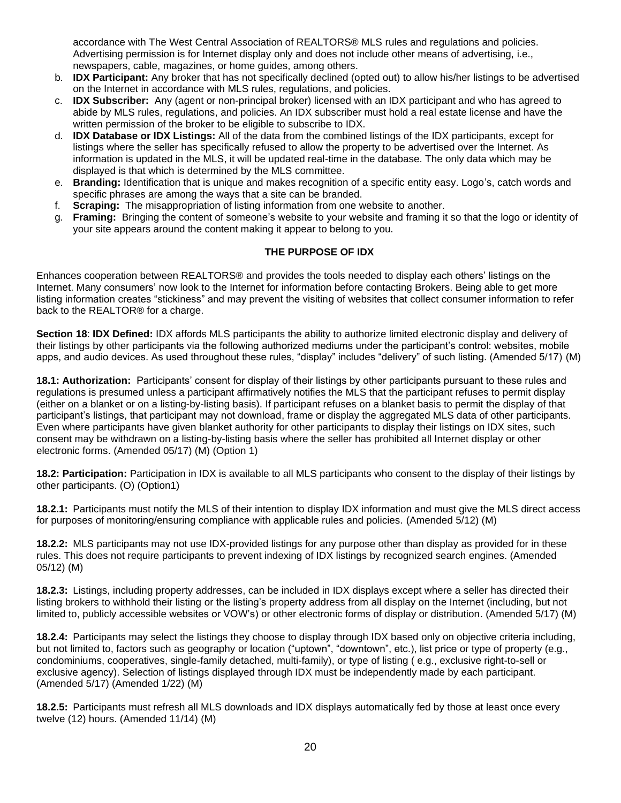accordance with The West Central Association of REALTORS® MLS rules and regulations and policies. Advertising permission is for Internet display only and does not include other means of advertising, i.e., newspapers, cable, magazines, or home guides, among others.

- b. **IDX Participant:** Any broker that has not specifically declined (opted out) to allow his/her listings to be advertised on the Internet in accordance with MLS rules, regulations, and policies.
- c. **IDX Subscriber:** Any (agent or non-principal broker) licensed with an IDX participant and who has agreed to abide by MLS rules, regulations, and policies. An IDX subscriber must hold a real estate license and have the written permission of the broker to be eligible to subscribe to IDX.
- d. **IDX Database or IDX Listings:** All of the data from the combined listings of the IDX participants, except for listings where the seller has specifically refused to allow the property to be advertised over the Internet. As information is updated in the MLS, it will be updated real-time in the database. The only data which may be displayed is that which is determined by the MLS committee.
- e. **Branding:** Identification that is unique and makes recognition of a specific entity easy. Logo's, catch words and specific phrases are among the ways that a site can be branded.
- f. **Scraping:** The misappropriation of listing information from one website to another.
- g. **Framing:** Bringing the content of someone's website to your website and framing it so that the logo or identity of your site appears around the content making it appear to belong to you.

### **THE PURPOSE OF IDX**

Enhances cooperation between REALTORS® and provides the tools needed to display each others' listings on the Internet. Many consumers' now look to the Internet for information before contacting Brokers. Being able to get more listing information creates "stickiness" and may prevent the visiting of websites that collect consumer information to refer back to the REALTOR® for a charge.

**Section 18**: **IDX Defined:** IDX affords MLS participants the ability to authorize limited electronic display and delivery of their listings by other participants via the following authorized mediums under the participant's control: websites, mobile apps, and audio devices. As used throughout these rules, "display" includes "delivery" of such listing. (Amended 5/17) (M)

**18.1: Authorization:** Participants' consent for display of their listings by other participants pursuant to these rules and regulations is presumed unless a participant affirmatively notifies the MLS that the participant refuses to permit display (either on a blanket or on a listing-by-listing basis). If participant refuses on a blanket basis to permit the display of that participant's listings, that participant may not download, frame or display the aggregated MLS data of other participants. Even where participants have given blanket authority for other participants to display their listings on IDX sites, such consent may be withdrawn on a listing-by-listing basis where the seller has prohibited all Internet display or other electronic forms. (Amended 05/17) (M) (Option 1)

**18.2: Participation:** Participation in IDX is available to all MLS participants who consent to the display of their listings by other participants. (O) (Option1)

**18.2.1:** Participants must notify the MLS of their intention to display IDX information and must give the MLS direct access for purposes of monitoring/ensuring compliance with applicable rules and policies. (Amended 5/12) (M)

**18.2.2:** MLS participants may not use IDX-provided listings for any purpose other than display as provided for in these rules. This does not require participants to prevent indexing of IDX listings by recognized search engines. (Amended 05/12) (M)

**18.2.3:** Listings, including property addresses, can be included in IDX displays except where a seller has directed their listing brokers to withhold their listing or the listing's property address from all display on the Internet (including, but not limited to, publicly accessible websites or VOW's) or other electronic forms of display or distribution. (Amended 5/17) (M)

**18.2.4:** Participants may select the listings they choose to display through IDX based only on objective criteria including, but not limited to, factors such as geography or location ("uptown", "downtown", etc.), list price or type of property (e.g., condominiums, cooperatives, single-family detached, multi-family), or type of listing ( e.g., exclusive right-to-sell or exclusive agency). Selection of listings displayed through IDX must be independently made by each participant. (Amended 5/17) (Amended 1/22) (M)

**18.2.5:** Participants must refresh all MLS downloads and IDX displays automatically fed by those at least once every twelve (12) hours. (Amended 11/14) (M)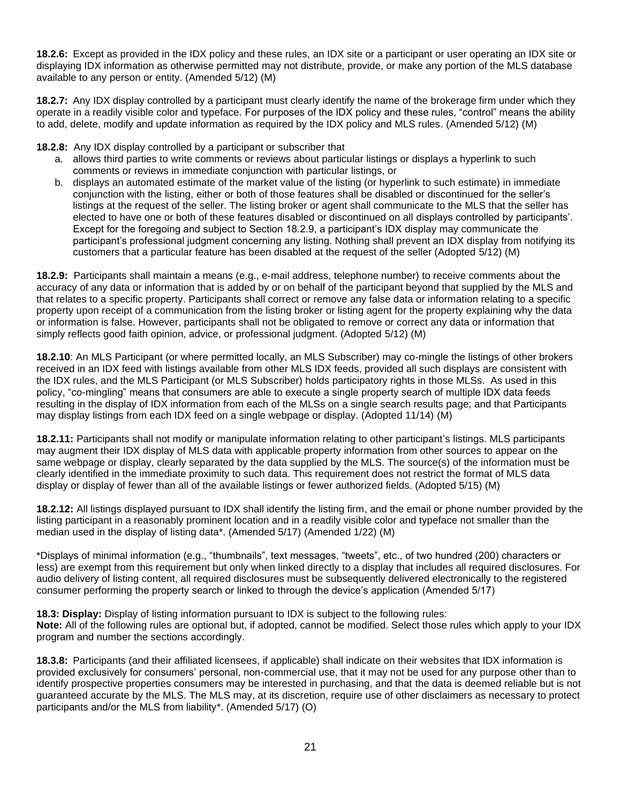**18.2.6:** Except as provided in the IDX policy and these rules, an IDX site or a participant or user operating an IDX site or displaying IDX information as otherwise permitted may not distribute, provide, or make any portion of the MLS database available to any person or entity. (Amended 5/12) (M)

**18.2.7:** Any IDX display controlled by a participant must clearly identify the name of the brokerage firm under which they operate in a readily visible color and typeface. For purposes of the IDX policy and these rules, "control" means the ability to add, delete, modify and update information as required by the IDX policy and MLS rules. (Amended 5/12) (M)

**18.2.8:** Any IDX display controlled by a participant or subscriber that

- a. allows third parties to write comments or reviews about particular listings or displays a hyperlink to such comments or reviews in immediate conjunction with particular listings, or
- b. displays an automated estimate of the market value of the listing (or hyperlink to such estimate) in immediate conjunction with the listing, either or both of those features shall be disabled or discontinued for the seller's listings at the request of the seller. The listing broker or agent shall communicate to the MLS that the seller has elected to have one or both of these features disabled or discontinued on all displays controlled by participants'. Except for the foregoing and subject to Section 18.2.9, a participant's IDX display may communicate the participant's professional judgment concerning any listing. Nothing shall prevent an IDX display from notifying its customers that a particular feature has been disabled at the request of the seller (Adopted 5/12) (M)

**18.2.9:** Participants shall maintain a means (e.g., e-mail address, telephone number) to receive comments about the accuracy of any data or information that is added by or on behalf of the participant beyond that supplied by the MLS and that relates to a specific property. Participants shall correct or remove any false data or information relating to a specific property upon receipt of a communication from the listing broker or listing agent for the property explaining why the data or information is false. However, participants shall not be obligated to remove or correct any data or information that simply reflects good faith opinion, advice, or professional judgment. (Adopted 5/12) (M)

**18.2.10**: An MLS Participant (or where permitted locally, an MLS Subscriber) may co-mingle the listings of other brokers received in an IDX feed with listings available from other MLS IDX feeds, provided all such displays are consistent with the IDX rules, and the MLS Participant (or MLS Subscriber) holds participatory rights in those MLSs. As used in this policy, "co-mingling" means that consumers are able to execute a single property search of multiple IDX data feeds resulting in the display of IDX information from each of the MLSs on a single search results page; and that Participants may display listings from each IDX feed on a single webpage or display. (Adopted 11/14) (M)

**18.2.11:** Participants shall not modify or manipulate information relating to other participant's listings. MLS participants may augment their IDX display of MLS data with applicable property information from other sources to appear on the same webpage or display, clearly separated by the data supplied by the MLS. The source(s) of the information must be clearly identified in the immediate proximity to such data. This requirement does not restrict the format of MLS data display or display of fewer than all of the available listings or fewer authorized fields. (Adopted 5/15) (M)

**18.2.12:** All listings displayed pursuant to IDX shall identify the listing firm, and the email or phone number provided by the listing participant in a reasonably prominent location and in a readily visible color and typeface not smaller than the median used in the display of listing data\*. (Amended 5/17) (Amended 1/22) (M)

\*Displays of minimal information (e.g., "thumbnails", text messages, "tweets", etc., of two hundred (200) characters or less) are exempt from this requirement but only when linked directly to a display that includes all required disclosures. For audio delivery of listing content, all required disclosures must be subsequently delivered electronically to the registered consumer performing the property search or linked to through the device's application (Amended 5/17)

**18.3: Display:** Display of listing information pursuant to IDX is subject to the following rules: **Note:** All of the following rules are optional but, if adopted, cannot be modified. Select those rules which apply to your IDX program and number the sections accordingly.

**18.3.8:** Participants (and their affiliated licensees, if applicable) shall indicate on their websites that IDX information is provided exclusively for consumers' personal, non-commercial use, that it may not be used for any purpose other than to identify prospective properties consumers may be interested in purchasing, and that the data is deemed reliable but is not guaranteed accurate by the MLS. The MLS may, at its discretion, require use of other disclaimers as necessary to protect participants and/or the MLS from liability\*. (Amended 5/17) (O)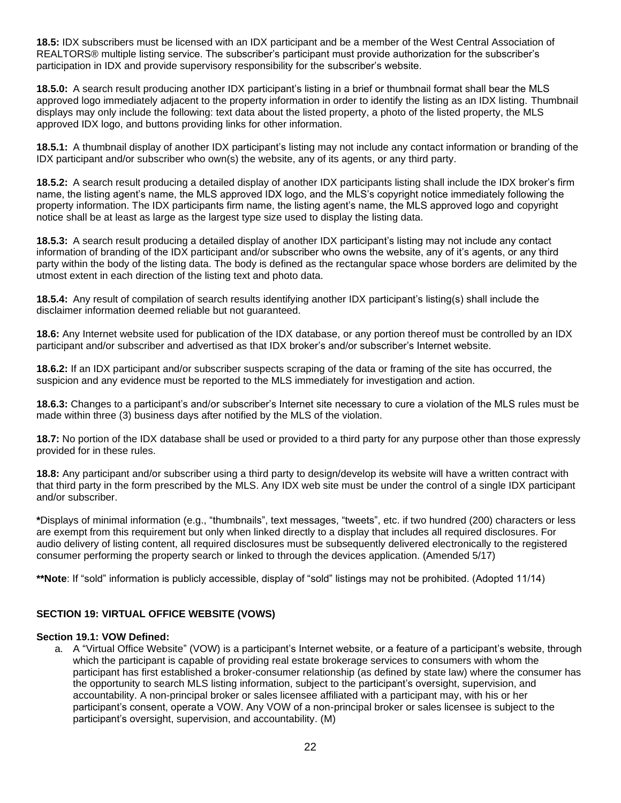**18.5:** IDX subscribers must be licensed with an IDX participant and be a member of the West Central Association of REALTORS® multiple listing service. The subscriber's participant must provide authorization for the subscriber's participation in IDX and provide supervisory responsibility for the subscriber's website.

**18.5.0:** A search result producing another IDX participant's listing in a brief or thumbnail format shall bear the MLS approved logo immediately adjacent to the property information in order to identify the listing as an IDX listing. Thumbnail displays may only include the following: text data about the listed property, a photo of the listed property, the MLS approved IDX logo, and buttons providing links for other information.

**18.5.1:** A thumbnail display of another IDX participant's listing may not include any contact information or branding of the IDX participant and/or subscriber who own(s) the website, any of its agents, or any third party.

**18.5.2:** A search result producing a detailed display of another IDX participants listing shall include the IDX broker's firm name, the listing agent's name, the MLS approved IDX logo, and the MLS's copyright notice immediately following the property information. The IDX participants firm name, the listing agent's name, the MLS approved logo and copyright notice shall be at least as large as the largest type size used to display the listing data.

**18.5.3:** A search result producing a detailed display of another IDX participant's listing may not include any contact information of branding of the IDX participant and/or subscriber who owns the website, any of it's agents, or any third party within the body of the listing data. The body is defined as the rectangular space whose borders are delimited by the utmost extent in each direction of the listing text and photo data.

**18.5.4:** Any result of compilation of search results identifying another IDX participant's listing(s) shall include the disclaimer information deemed reliable but not guaranteed.

**18.6:** Any Internet website used for publication of the IDX database, or any portion thereof must be controlled by an IDX participant and/or subscriber and advertised as that IDX broker's and/or subscriber's Internet website.

**18.6.2:** If an IDX participant and/or subscriber suspects scraping of the data or framing of the site has occurred, the suspicion and any evidence must be reported to the MLS immediately for investigation and action.

**18.6.3:** Changes to a participant's and/or subscriber's Internet site necessary to cure a violation of the MLS rules must be made within three (3) business days after notified by the MLS of the violation.

**18.7:** No portion of the IDX database shall be used or provided to a third party for any purpose other than those expressly provided for in these rules.

**18.8:** Any participant and/or subscriber using a third party to design/develop its website will have a written contract with that third party in the form prescribed by the MLS. Any IDX web site must be under the control of a single IDX participant and/or subscriber.

**\***Displays of minimal information (e.g., "thumbnails", text messages, "tweets", etc. if two hundred (200) characters or less are exempt from this requirement but only when linked directly to a display that includes all required disclosures. For audio delivery of listing content, all required disclosures must be subsequently delivered electronically to the registered consumer performing the property search or linked to through the devices application. (Amended 5/17)

**\*\*Note**: If "sold" information is publicly accessible, display of "sold" listings may not be prohibited. (Adopted 11/14)

#### **SECTION 19: VIRTUAL OFFICE WEBSITE (VOWS)**

#### **Section 19.1: VOW Defined:**

a. A "Virtual Office Website" (VOW) is a participant's Internet website, or a feature of a participant's website, through which the participant is capable of providing real estate brokerage services to consumers with whom the participant has first established a broker-consumer relationship (as defined by state law) where the consumer has the opportunity to search MLS listing information, subject to the participant's oversight, supervision, and accountability. A non-principal broker or sales licensee affiliated with a participant may, with his or her participant's consent, operate a VOW. Any VOW of a non-principal broker or sales licensee is subject to the participant's oversight, supervision, and accountability. (M)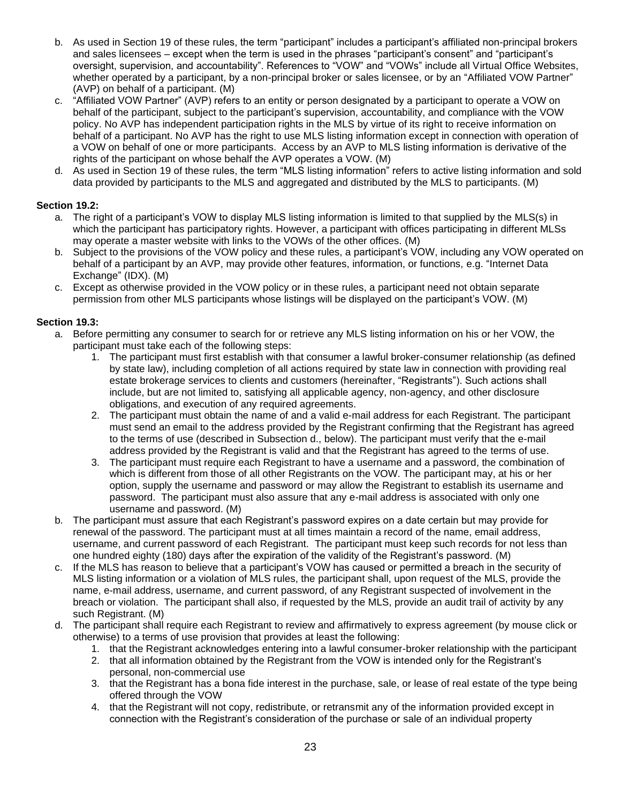- b. As used in Section 19 of these rules, the term "participant" includes a participant's affiliated non-principal brokers and sales licensees – except when the term is used in the phrases "participant's consent" and "participant's oversight, supervision, and accountability". References to "VOW" and "VOWs" include all Virtual Office Websites, whether operated by a participant, by a non-principal broker or sales licensee, or by an "Affiliated VOW Partner" (AVP) on behalf of a participant. (M)
- c. "Affiliated VOW Partner" (AVP) refers to an entity or person designated by a participant to operate a VOW on behalf of the participant, subject to the participant's supervision, accountability, and compliance with the VOW policy. No AVP has independent participation rights in the MLS by virtue of its right to receive information on behalf of a participant. No AVP has the right to use MLS listing information except in connection with operation of a VOW on behalf of one or more participants. Access by an AVP to MLS listing information is derivative of the rights of the participant on whose behalf the AVP operates a VOW. (M)
- d. As used in Section 19 of these rules, the term "MLS listing information" refers to active listing information and sold data provided by participants to the MLS and aggregated and distributed by the MLS to participants. (M)

# **Section 19.2:**

- a. The right of a participant's VOW to display MLS listing information is limited to that supplied by the MLS(s) in which the participant has participatory rights. However, a participant with offices participating in different MLSs may operate a master website with links to the VOWs of the other offices. (M)
- b. Subject to the provisions of the VOW policy and these rules, a participant's VOW, including any VOW operated on behalf of a participant by an AVP, may provide other features, information, or functions, e.g. "Internet Data Exchange" (IDX). (M)
- c. Except as otherwise provided in the VOW policy or in these rules, a participant need not obtain separate permission from other MLS participants whose listings will be displayed on the participant's VOW. (M)

# **Section 19.3:**

- a. Before permitting any consumer to search for or retrieve any MLS listing information on his or her VOW, the participant must take each of the following steps:
	- 1. The participant must first establish with that consumer a lawful broker-consumer relationship (as defined by state law), including completion of all actions required by state law in connection with providing real estate brokerage services to clients and customers (hereinafter, "Registrants"). Such actions shall include, but are not limited to, satisfying all applicable agency, non-agency, and other disclosure obligations, and execution of any required agreements.
	- 2. The participant must obtain the name of and a valid e-mail address for each Registrant. The participant must send an email to the address provided by the Registrant confirming that the Registrant has agreed to the terms of use (described in Subsection d., below). The participant must verify that the e-mail address provided by the Registrant is valid and that the Registrant has agreed to the terms of use.
	- 3. The participant must require each Registrant to have a username and a password, the combination of which is different from those of all other Registrants on the VOW. The participant may, at his or her option, supply the username and password or may allow the Registrant to establish its username and password. The participant must also assure that any e-mail address is associated with only one username and password. (M)
- b. The participant must assure that each Registrant's password expires on a date certain but may provide for renewal of the password. The participant must at all times maintain a record of the name, email address, username, and current password of each Registrant. The participant must keep such records for not less than one hundred eighty (180) days after the expiration of the validity of the Registrant's password. (M)
- c. If the MLS has reason to believe that a participant's VOW has caused or permitted a breach in the security of MLS listing information or a violation of MLS rules, the participant shall, upon request of the MLS, provide the name, e-mail address, username, and current password, of any Registrant suspected of involvement in the breach or violation. The participant shall also, if requested by the MLS, provide an audit trail of activity by any such Registrant. (M)
- d. The participant shall require each Registrant to review and affirmatively to express agreement (by mouse click or otherwise) to a terms of use provision that provides at least the following:
	- 1. that the Registrant acknowledges entering into a lawful consumer-broker relationship with the participant
	- 2. that all information obtained by the Registrant from the VOW is intended only for the Registrant's personal, non-commercial use
	- 3. that the Registrant has a bona fide interest in the purchase, sale, or lease of real estate of the type being offered through the VOW
	- 4. that the Registrant will not copy, redistribute, or retransmit any of the information provided except in connection with the Registrant's consideration of the purchase or sale of an individual property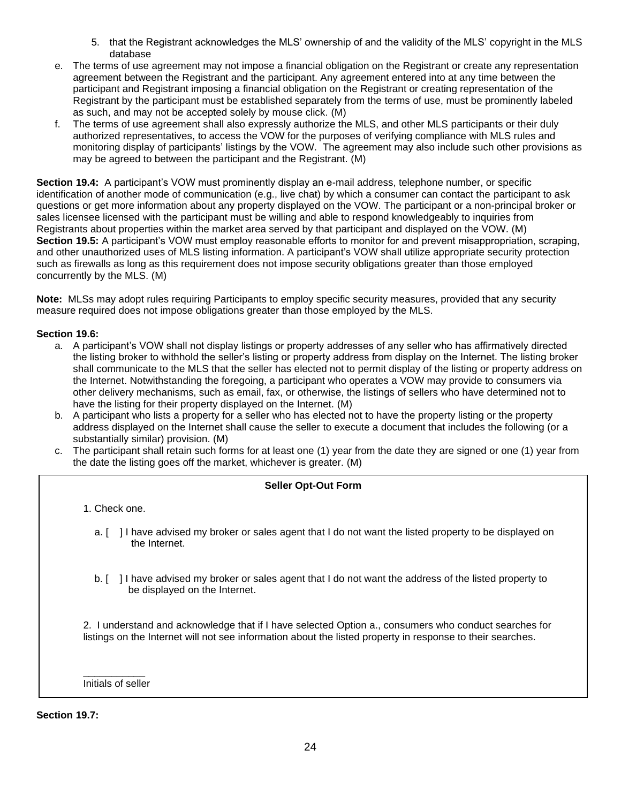- 5. that the Registrant acknowledges the MLS' ownership of and the validity of the MLS' copyright in the MLS database
- e. The terms of use agreement may not impose a financial obligation on the Registrant or create any representation agreement between the Registrant and the participant. Any agreement entered into at any time between the participant and Registrant imposing a financial obligation on the Registrant or creating representation of the Registrant by the participant must be established separately from the terms of use, must be prominently labeled as such, and may not be accepted solely by mouse click. (M)
- f. The terms of use agreement shall also expressly authorize the MLS, and other MLS participants or their duly authorized representatives, to access the VOW for the purposes of verifying compliance with MLS rules and monitoring display of participants' listings by the VOW. The agreement may also include such other provisions as may be agreed to between the participant and the Registrant. (M)

**Section 19.4:** A participant's VOW must prominently display an e-mail address, telephone number, or specific identification of another mode of communication (e.g., live chat) by which a consumer can contact the participant to ask questions or get more information about any property displayed on the VOW. The participant or a non-principal broker or sales licensee licensed with the participant must be willing and able to respond knowledgeably to inquiries from Registrants about properties within the market area served by that participant and displayed on the VOW. (M) **Section 19.5:** A participant's VOW must employ reasonable efforts to monitor for and prevent misappropriation, scraping, and other unauthorized uses of MLS listing information. A participant's VOW shall utilize appropriate security protection such as firewalls as long as this requirement does not impose security obligations greater than those employed concurrently by the MLS. (M)

**Note:** MLSs may adopt rules requiring Participants to employ specific security measures, provided that any security measure required does not impose obligations greater than those employed by the MLS.

### **Section 19.6:**

- a. A participant's VOW shall not display listings or property addresses of any seller who has affirmatively directed the listing broker to withhold the seller's listing or property address from display on the Internet. The listing broker shall communicate to the MLS that the seller has elected not to permit display of the listing or property address on the Internet. Notwithstanding the foregoing, a participant who operates a VOW may provide to consumers via other delivery mechanisms, such as email, fax, or otherwise, the listings of sellers who have determined not to have the listing for their property displayed on the Internet. (M)
- b. A participant who lists a property for a seller who has elected not to have the property listing or the property address displayed on the Internet shall cause the seller to execute a document that includes the following (or a substantially similar) provision. (M)
- c. The participant shall retain such forms for at least one (1) year from the date they are signed or one (1) year from the date the listing goes off the market, whichever is greater. (M)

### **Seller Opt-Out Form**

1. Check one.

- a. [ ] I have advised my broker or sales agent that I do not want the listed property to be displayed on the Internet.
- b. [ ] I have advised my broker or sales agent that I do not want the address of the listed property to be displayed on the Internet.

2. I understand and acknowledge that if I have selected Option a., consumers who conduct searches for listings on the Internet will not see information about the listed property in response to their searches.

\_\_\_\_\_\_\_\_\_\_\_ Initials of seller

**Section 19.7:**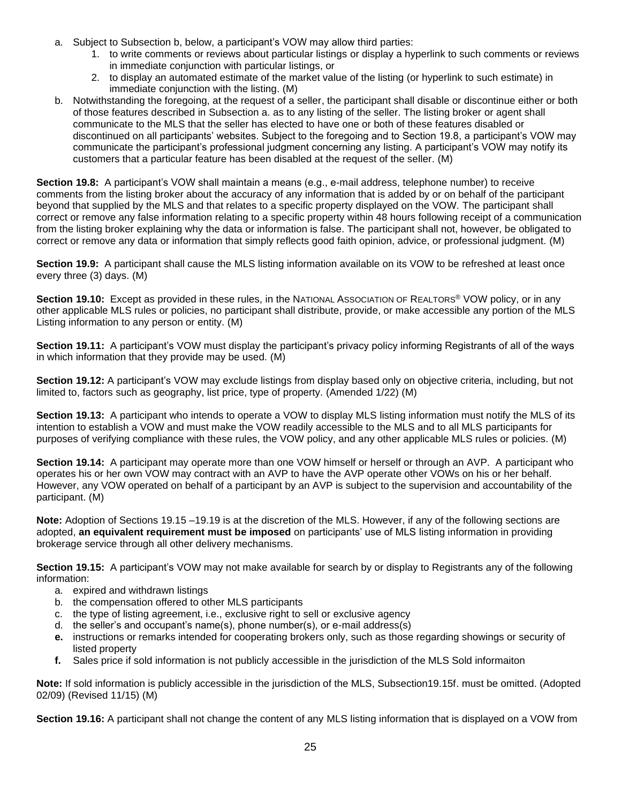- a. Subject to Subsection b, below, a participant's VOW may allow third parties:
	- 1. to write comments or reviews about particular listings or display a hyperlink to such comments or reviews in immediate conjunction with particular listings, or
	- 2. to display an automated estimate of the market value of the listing (or hyperlink to such estimate) in immediate conjunction with the listing. (M)
- b. Notwithstanding the foregoing, at the request of a seller, the participant shall disable or discontinue either or both of those features described in Subsection a. as to any listing of the seller. The listing broker or agent shall communicate to the MLS that the seller has elected to have one or both of these features disabled or discontinued on all participants' websites. Subject to the foregoing and to Section 19.8, a participant's VOW may communicate the participant's professional judgment concerning any listing. A participant's VOW may notify its customers that a particular feature has been disabled at the request of the seller. (M)

**Section 19.8:** A participant's VOW shall maintain a means (e.g., e-mail address, telephone number) to receive comments from the listing broker about the accuracy of any information that is added by or on behalf of the participant beyond that supplied by the MLS and that relates to a specific property displayed on the VOW. The participant shall correct or remove any false information relating to a specific property within 48 hours following receipt of a communication from the listing broker explaining why the data or information is false. The participant shall not, however, be obligated to correct or remove any data or information that simply reflects good faith opinion, advice, or professional judgment. (M)

**Section 19.9:** A participant shall cause the MLS listing information available on its VOW to be refreshed at least once every three (3) days. (M)

**Section 19.10:** Except as provided in these rules, in the NATIONAL ASSOCIATION OF REALTORS<sup>®</sup> VOW policy, or in any other applicable MLS rules or policies, no participant shall distribute, provide, or make accessible any portion of the MLS Listing information to any person or entity. (M)

**Section 19.11:** A participant's VOW must display the participant's privacy policy informing Registrants of all of the ways in which information that they provide may be used. (M)

**Section 19.12:** A participant's VOW may exclude listings from display based only on objective criteria, including, but not limited to, factors such as geography, list price, type of property. (Amended 1/22) (M)

**Section 19.13:** A participant who intends to operate a VOW to display MLS listing information must notify the MLS of its intention to establish a VOW and must make the VOW readily accessible to the MLS and to all MLS participants for purposes of verifying compliance with these rules, the VOW policy, and any other applicable MLS rules or policies. (M)

**Section 19.14:** A participant may operate more than one VOW himself or herself or through an AVP. A participant who operates his or her own VOW may contract with an AVP to have the AVP operate other VOWs on his or her behalf. However, any VOW operated on behalf of a participant by an AVP is subject to the supervision and accountability of the participant. (M)

**Note:** Adoption of Sections 19.15 –19.19 is at the discretion of the MLS. However, if any of the following sections are adopted, **an equivalent requirement must be imposed** on participants' use of MLS listing information in providing brokerage service through all other delivery mechanisms.

**Section 19.15:** A participant's VOW may not make available for search by or display to Registrants any of the following information:

- a. expired and withdrawn listings
- b. the compensation offered to other MLS participants
- c. the type of listing agreement, i.e., exclusive right to sell or exclusive agency
- d. the seller's and occupant's name(s), phone number(s), or e-mail address(s)
- **e.** instructions or remarks intended for cooperating brokers only, such as those regarding showings or security of listed property
- **f.** Sales price if sold information is not publicly accessible in the jurisdiction of the MLS Sold informaiton

**Note:** If sold information is publicly accessible in the jurisdiction of the MLS, Subsection19.15f. must be omitted. (Adopted 02/09) (Revised 11/15) (M)

**Section 19.16:** A participant shall not change the content of any MLS listing information that is displayed on a VOW from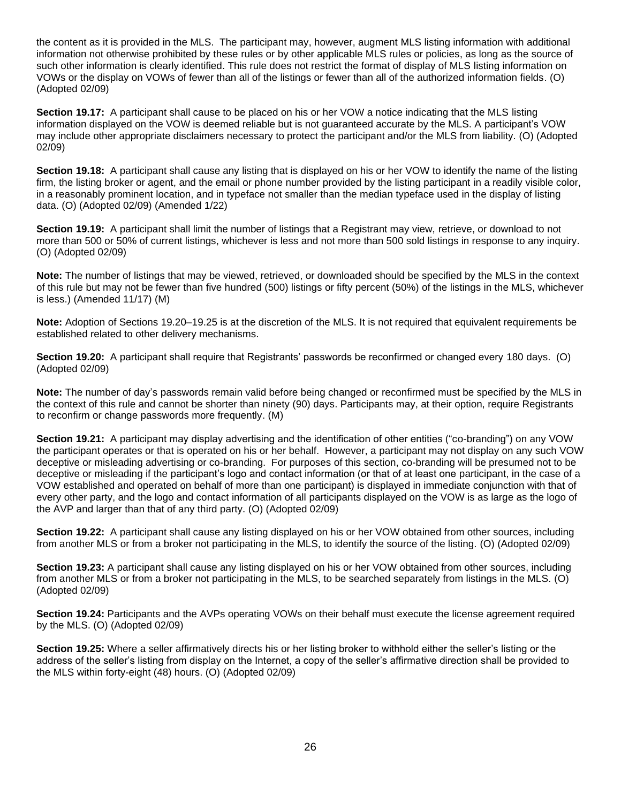the content as it is provided in the MLS. The participant may, however, augment MLS listing information with additional information not otherwise prohibited by these rules or by other applicable MLS rules or policies, as long as the source of such other information is clearly identified. This rule does not restrict the format of display of MLS listing information on VOWs or the display on VOWs of fewer than all of the listings or fewer than all of the authorized information fields. (O) (Adopted 02/09)

**Section 19.17:** A participant shall cause to be placed on his or her VOW a notice indicating that the MLS listing information displayed on the VOW is deemed reliable but is not guaranteed accurate by the MLS. A participant's VOW may include other appropriate disclaimers necessary to protect the participant and/or the MLS from liability. (O) (Adopted 02/09)

**Section 19.18:** A participant shall cause any listing that is displayed on his or her VOW to identify the name of the listing firm, the listing broker or agent, and the email or phone number provided by the listing participant in a readily visible color, in a reasonably prominent location, and in typeface not smaller than the median typeface used in the display of listing data. (O) (Adopted 02/09) (Amended 1/22)

**Section 19.19:** A participant shall limit the number of listings that a Registrant may view, retrieve, or download to not more than 500 or 50% of current listings, whichever is less and not more than 500 sold listings in response to any inquiry. (O) (Adopted 02/09)

**Note:** The number of listings that may be viewed, retrieved, or downloaded should be specified by the MLS in the context of this rule but may not be fewer than five hundred (500) listings or fifty percent (50%) of the listings in the MLS, whichever is less.) (Amended 11/17) (M)

**Note:** Adoption of Sections 19.20–19.25 is at the discretion of the MLS. It is not required that equivalent requirements be established related to other delivery mechanisms.

**Section 19.20:** A participant shall require that Registrants' passwords be reconfirmed or changed every 180 days. (O) (Adopted 02/09)

**Note:** The number of day's passwords remain valid before being changed or reconfirmed must be specified by the MLS in the context of this rule and cannot be shorter than ninety (90) days. Participants may, at their option, require Registrants to reconfirm or change passwords more frequently. (M)

**Section 19.21:** A participant may display advertising and the identification of other entities ("co-branding") on any VOW the participant operates or that is operated on his or her behalf. However, a participant may not display on any such VOW deceptive or misleading advertising or co-branding. For purposes of this section, co-branding will be presumed not to be deceptive or misleading if the participant's logo and contact information (or that of at least one participant, in the case of a VOW established and operated on behalf of more than one participant) is displayed in immediate conjunction with that of every other party, and the logo and contact information of all participants displayed on the VOW is as large as the logo of the AVP and larger than that of any third party. (O) (Adopted 02/09)

**Section 19.22:** A participant shall cause any listing displayed on his or her VOW obtained from other sources, including from another MLS or from a broker not participating in the MLS, to identify the source of the listing. (O) (Adopted 02/09)

**Section 19.23:** A participant shall cause any listing displayed on his or her VOW obtained from other sources, including from another MLS or from a broker not participating in the MLS, to be searched separately from listings in the MLS. (O) (Adopted 02/09)

**Section 19.24:** Participants and the AVPs operating VOWs on their behalf must execute the license agreement required by the MLS. (O) (Adopted 02/09)

**Section 19.25:** Where a seller affirmatively directs his or her listing broker to withhold either the seller's listing or the address of the seller's listing from display on the Internet, a copy of the seller's affirmative direction shall be provided to the MLS within forty-eight (48) hours. (O) (Adopted 02/09)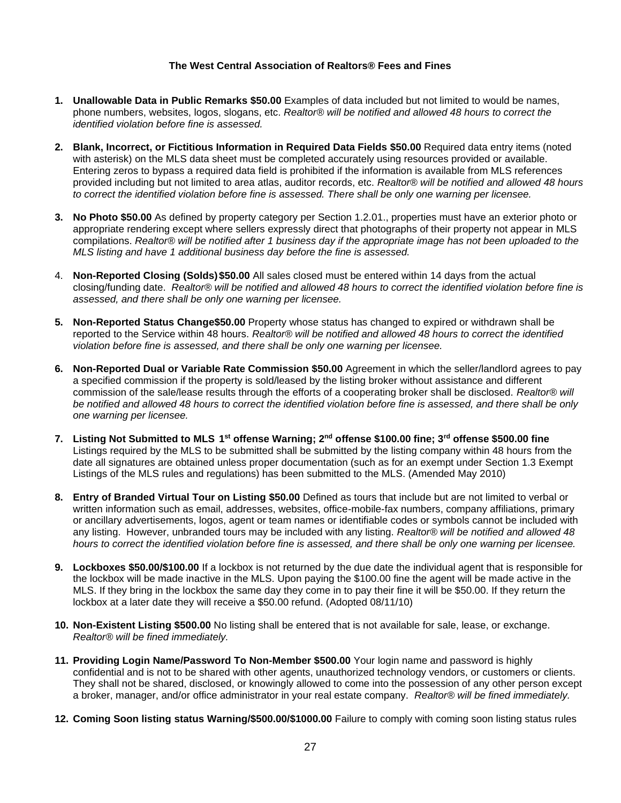#### **The West Central Association of Realtors® Fees and Fines**

- **1. Unallowable Data in Public Remarks \$50.00** Examples of data included but not limited to would be names, phone numbers, websites, logos, slogans, etc. *Realtor® will be notified and allowed 48 hours to correct the identified violation before fine is assessed.*
- **2. Blank, Incorrect, or Fictitious Information in Required Data Fields \$50.00** Required data entry items (noted with asterisk) on the MLS data sheet must be completed accurately using resources provided or available. Entering zeros to bypass a required data field is prohibited if the information is available from MLS references provided including but not limited to area atlas, auditor records, etc. *Realtor® will be notified and allowed 48 hours to correct the identified violation before fine is assessed. There shall be only one warning per licensee.*
- **3. No Photo \$50.00** As defined by property category per Section 1.2.01., properties must have an exterior photo or appropriate rendering except where sellers expressly direct that photographs of their property not appear in MLS compilations. *Realtor® will be notified after 1 business day if the appropriate image has not been uploaded to the MLS listing and have 1 additional business day before the fine is assessed.*
- 4. **Non-Reported Closing (Solds)\$50.00** All sales closed must be entered within 14 days from the actual closing/funding date. *Realtor® will be notified and allowed 48 hours to correct the identified violation before fine is assessed, and there shall be only one warning per licensee.*
- **5. Non-Reported Status Change\$50.00** Property whose status has changed to expired or withdrawn shall be reported to the Service within 48 hours. *Realtor® will be notified and allowed 48 hours to correct the identified violation before fine is assessed, and there shall be only one warning per licensee.*
- **6. Non-Reported Dual or Variable Rate Commission \$50.00** Agreement in which the seller/landlord agrees to pay a specified commission if the property is sold/leased by the listing broker without assistance and different commission of the sale/lease results through the efforts of a cooperating broker shall be disclosed. *Realtor® will be notified and allowed 48 hours to correct the identified violation before fine is assessed, and there shall be only one warning per licensee.*
- **7. Listing Not Submitted to MLS 1 st offense Warning; 2nd offense \$100.00 fine; 3rd offense \$500.00 fine** Listings required by the MLS to be submitted shall be submitted by the listing company within 48 hours from the date all signatures are obtained unless proper documentation (such as for an exempt under Section 1.3 Exempt Listings of the MLS rules and regulations) has been submitted to the MLS. (Amended May 2010)
- **8. Entry of Branded Virtual Tour on Listing \$50.00** Defined as tours that include but are not limited to verbal or written information such as email, addresses, websites, office-mobile-fax numbers, company affiliations, primary or ancillary advertisements, logos, agent or team names or identifiable codes or symbols cannot be included with any listing. However, unbranded tours may be included with any listing. *Realtor® will be notified and allowed 48 hours to correct the identified violation before fine is assessed, and there shall be only one warning per licensee.*
- **9. Lockboxes \$50.00/\$100.00** If a lockbox is not returned by the due date the individual agent that is responsible for the lockbox will be made inactive in the MLS. Upon paying the \$100.00 fine the agent will be made active in the MLS. If they bring in the lockbox the same day they come in to pay their fine it will be \$50.00. If they return the lockbox at a later date they will receive a \$50.00 refund. (Adopted 08/11/10)
- **10. Non-Existent Listing \$500.00** No listing shall be entered that is not available for sale, lease, or exchange. *Realtor® will be fined immediately.*
- **11. Providing Login Name/Password To Non-Member \$500.00** Your login name and password is highly confidential and is not to be shared with other agents, unauthorized technology vendors, or customers or clients. They shall not be shared, disclosed, or knowingly allowed to come into the possession of any other person except a broker, manager, and/or office administrator in your real estate company. *Realtor® will be fined immediately.*
- **12. Coming Soon listing status Warning/\$500.00/\$1000.00** Failure to comply with coming soon listing status rules